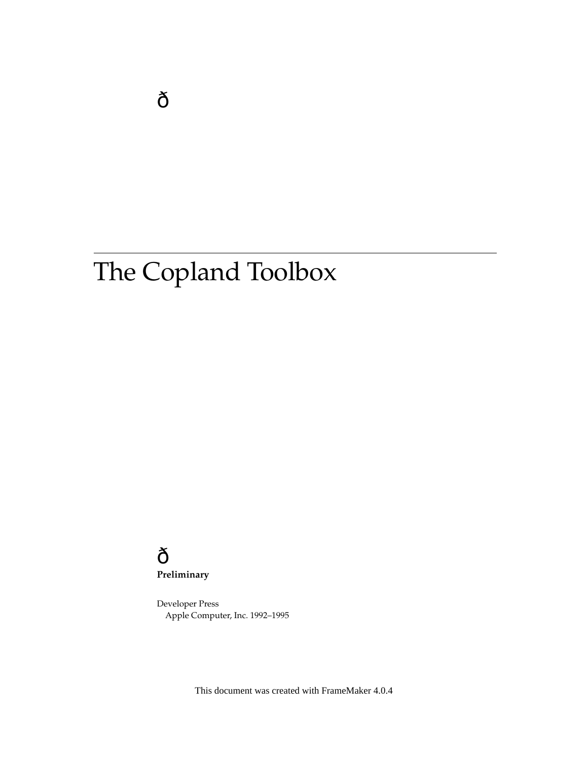# The Copland Toolbox

**Preliminary**

Developer Press Apple Computer, Inc. 1992–1995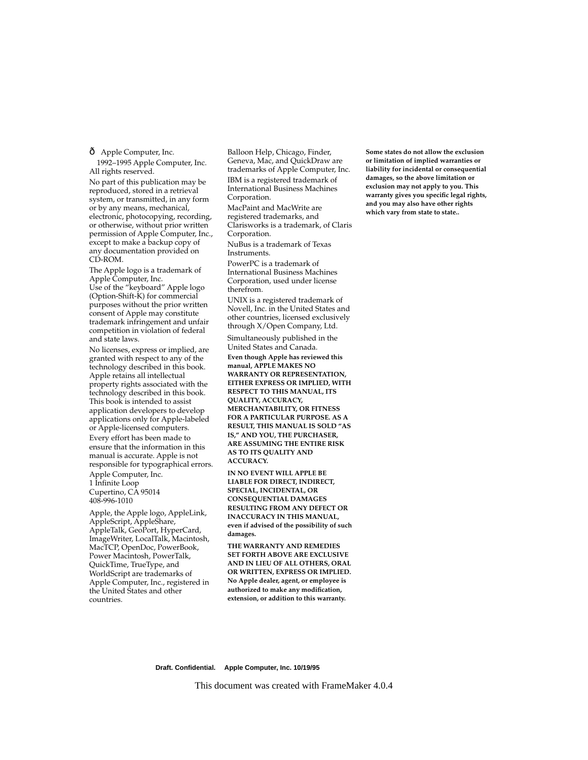Apple Computer, Inc. 1992–1995 Apple Computer, Inc. All rights reserved.

No part of this publication may be reproduced, stored in a retrieval system, or transmitted, in any form or by any means, mechanical, electronic, photocopying, recording, or otherwise, without prior written permission of Apple Computer, Inc., except to make a backup copy of any documentation provided on CD-ROM.

The Apple logo is a trademark of Apple Computer, Inc. Use of the "keyboard" Apple logo (Option-Shift-K) for commercial purposes without the prior written consent of Apple may constitute trademark infringement and unfair competition in violation of federal and state laws.

No licenses, express or implied, are granted with respect to any of the technology described in this book. Apple retains all intellectual property rights associated with the technology described in this book. This book is intended to assist application developers to develop applications only for Apple-labeled or Apple-licensed computers. Every effort has been made to ensure that the information in this manual is accurate. Apple is not responsible for typographical errors.

Apple Computer, Inc. 1 Infinite Loop Cupertino, CA 95014 408-996-1010

Apple, the Apple logo, AppleLink, AppleScript, AppleShare, AppleTalk, GeoPort, HyperCard, ImageWriter, LocalTalk, Macintosh, MacTCP, OpenDoc, PowerBook, Power Macintosh, PowerTalk, QuickTime, TrueType, and WorldScript are trademarks of Apple Computer, Inc., registered in the United States and other countries.

Balloon Help, Chicago, Finder, Geneva, Mac, and QuickDraw are trademarks of Apple Computer, Inc. IBM is a registered trademark of International Business Machines Corporation.

MacPaint and MacWrite are registered trademarks, and Clarisworks is a trademark, of Claris Corporation.

NuBus is a trademark of Texas Instruments.

PowerPC is a trademark of International Business Machines Corporation, used under license therefrom.

UNIX is a registered trademark of Novell, Inc. in the United States and other countries, licensed exclusively through X/Open Company, Ltd.

Simultaneously published in the United States and Canada.

**Even though Apple has reviewed this manual, APPLE MAKES NO WARRANTY OR REPRESENTATION, EITHER EXPRESS OR IMPLIED, WITH RESPECT TO THIS MANUAL, ITS QUALITY, ACCURACY, MERCHANTABILITY, OR FITNESS FOR A PARTICULAR PURPOSE. AS A RESULT, THIS MANUAL IS SOLD "AS IS," AND YOU, THE PURCHASER, ARE ASSUMING THE ENTIRE RISK AS TO ITS QUALITY AND ACCURACY.**

**IN NO EVENT WILL APPLE BE LIABLE FOR DIRECT, INDIRECT, SPECIAL, INCIDENTAL, OR CONSEQUENTIAL DAMAGES RESULTING FROM ANY DEFECT OR INACCURACY IN THIS MANUAL, even if advised of the possibility of such damages.**

**THE WARRANTY AND REMEDIES SET FORTH ABOVE ARE EXCLUSIVE AND IN LIEU OF ALL OTHERS, ORAL OR WRITTEN, EXPRESS OR IMPLIED. No Apple dealer, agent, or employee is authorized to make any modification, extension, or addition to this warranty.**

**Some states do not allow the exclusion or limitation of implied warranties or liability for incidental or consequential damages, so the above limitation or exclusion may not apply to you. This warranty gives you specific legal rights, and you may also have other rights which vary from state to state..**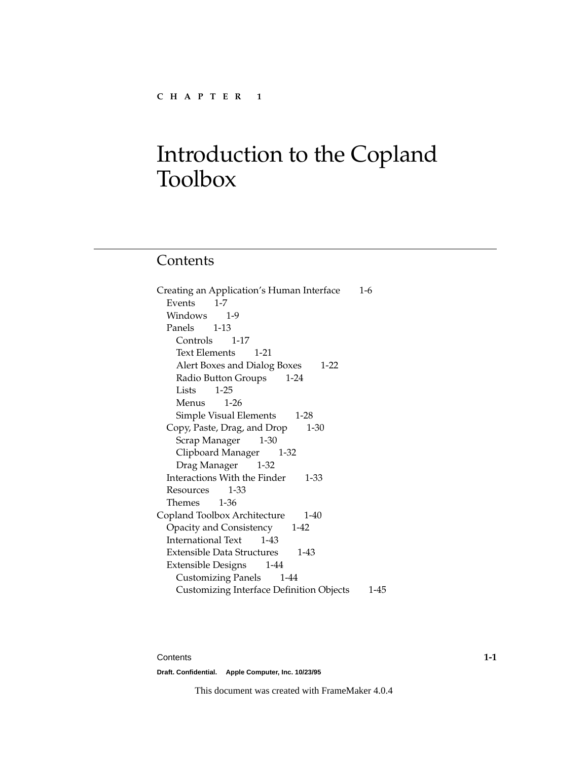# Contents

Creating an Application's Human Interface 1-6 Events 1-7 Windows 1-9 Panels 1-13 Controls 1-17 Text Elements 1-21 Alert Boxes and Dialog Boxes 1-22 Radio Button Groups 1-24 Lists 1-25 Menus 1-26 Simple Visual Elements 1-28 Copy, Paste, Drag, and Drop 1-30 Scrap Manager 1-30 Clipboard Manager 1-32 Drag Manager 1-32 Interactions With the Finder 1-33 Resources 1-33 Themes 1-36 Copland Toolbox Architecture 1-40 Opacity and Consistency 1-42 International Text 1-43 Extensible Data Structures 1-43 Extensible Designs 1-44 Customizing Panels 1-44 Customizing Interface Definition Objects 1-45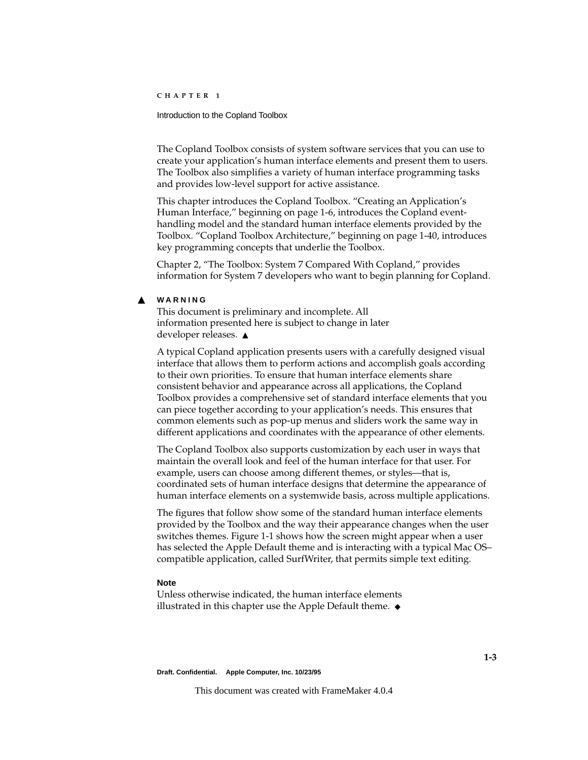## Introduction to the Copland Toolbox 1

The Copland Toolbox consists of system software services that you can use to create your application's human interface elements and present them to users. The Toolbox also simplifies a variety of human interface programming tasks and provides low-level support for active assistance.

This chapter introduces the Copland Toolbox. "Creating an Application's Human Interface," beginning on page 1-6, introduces the Copland eventhandling model and the standard human interface elements provided by the Toolbox. "Copland Toolbox Architecture," beginning on page 1-40, introduces key programming concepts that underlie the Toolbox.

Chapter 2, "The Toolbox: System 7 Compared With Copland," provides information for System 7 developers who want to begin planning for Copland.

# ▲ **WARNING**

This document is preliminary and incomplete. All information presented here is subject to change in later developer releases. ▲

A typical Copland application presents users with a carefully designed visual interface that allows them to perform actions and accomplish goals according to their own priorities. To ensure that human interface elements share consistent behavior and appearance across all applications, the Copland Toolbox provides a comprehensive set of standard interface elements that you can piece together according to your application's needs. This ensures that common elements such as pop-up menus and sliders work the same way in different applications and coordinates with the appearance of other elements.

The Copland Toolbox also supports customization by each user in ways that maintain the overall look and feel of the human interface for that user. For example, users can choose among different themes, or styles—that is, coordinated sets of human interface designs that determine the appearance of human interface elements on a systemwide basis, across multiple applications.

The figures that follow show some of the standard human interface elements provided by the Toolbox and the way their appearance changes when the user switches themes. Figure 1-1 shows how the screen might appear when a user has selected the Apple Default theme and is interacting with a typical Mac OS– compatible application, called SurfWriter, that permits simple text editing.

# **Note**

Unless otherwise indicated, the human interface elements illustrated in this chapter use the Apple Default theme.  $\triangleleft$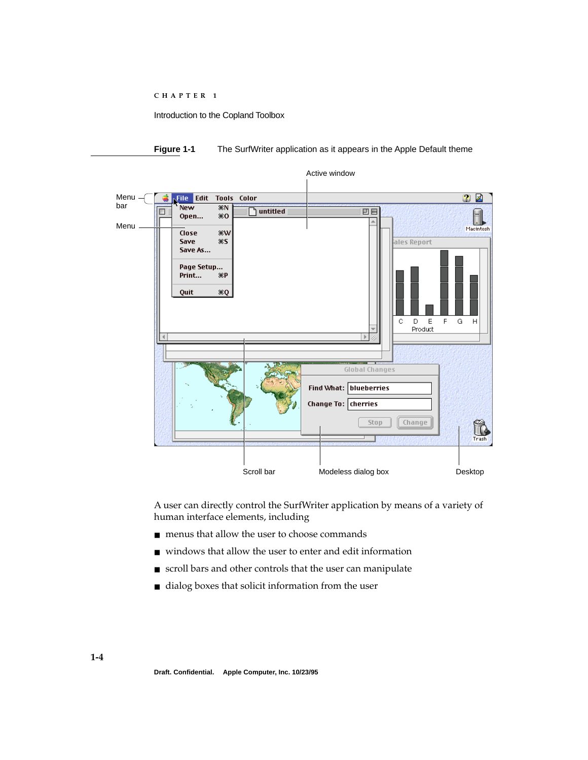**Figure 1-1** The SurfWriter application as it appears in the Apple Default theme



A user can directly control the SurfWriter application by means of a variety of human interface elements, including

- menus that allow the user to choose commands
- windows that allow the user to enter and edit information
- scroll bars and other controls that the user can manipulate
- dialog boxes that solicit information from the user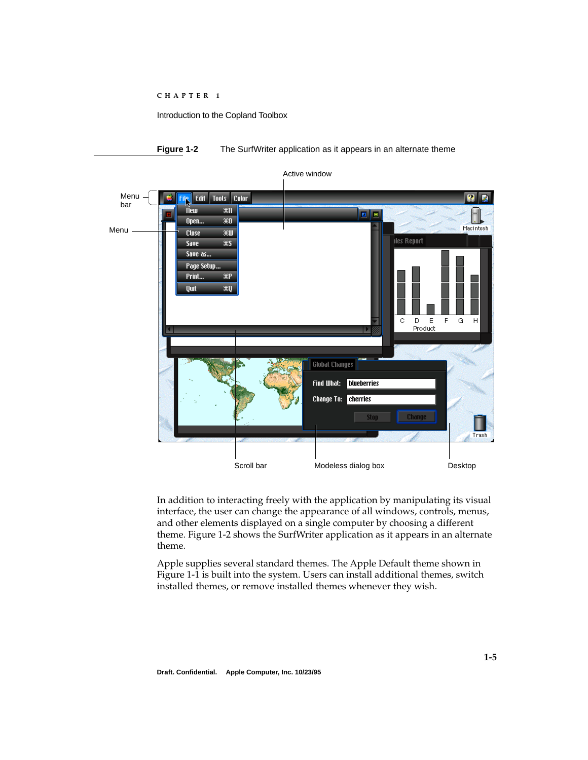Introduction to the Copland Toolbox



# **Figure 1-2** The SurfWriter application as it appears in an alternate theme

In addition to interacting freely with the application by manipulating its visual interface, the user can change the appearance of all windows, controls, menus, and other elements displayed on a single computer by choosing a different theme. Figure 1-2 shows the SurfWriter application as it appears in an alternate theme.

Apple supplies several standard themes. The Apple Default theme shown in Figure 1-1 is built into the system. Users can install additional themes, switch installed themes, or remove installed themes whenever they wish.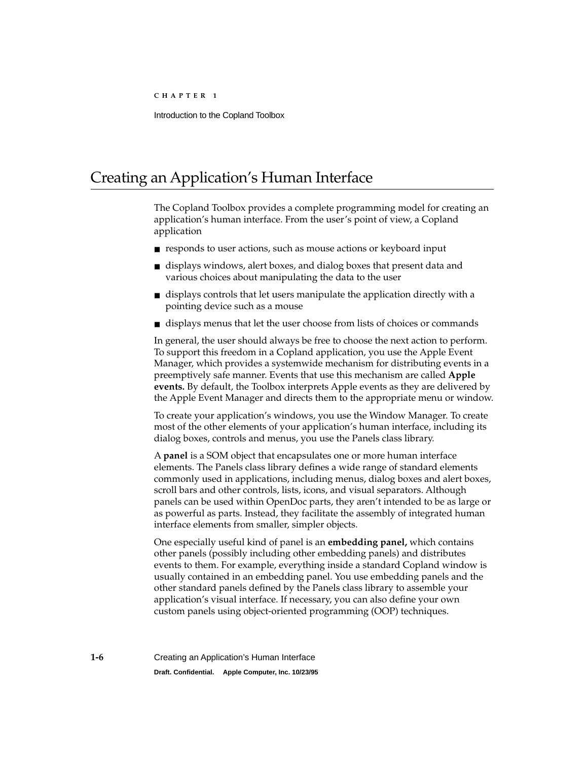# Creating an Application's Human Interface

The Copland Toolbox provides a complete programming model for creating an application's human interface. From the user's point of view, a Copland application

- responds to user actions, such as mouse actions or keyboard input
- displays windows, alert boxes, and dialog boxes that present data and various choices about manipulating the data to the user
- displays controls that let users manipulate the application directly with a pointing device such as a mouse
- displays menus that let the user choose from lists of choices or commands

In general, the user should always be free to choose the next action to perform. To support this freedom in a Copland application, you use the Apple Event Manager, which provides a systemwide mechanism for distributing events in a preemptively safe manner. Events that use this mechanism are called **Apple events.** By default, the Toolbox interprets Apple events as they are delivered by the Apple Event Manager and directs them to the appropriate menu or window.

To create your application's windows, you use the Window Manager. To create most of the other elements of your application's human interface, including its dialog boxes, controls and menus, you use the Panels class library.

A **panel** is a SOM object that encapsulates one or more human interface elements. The Panels class library defines a wide range of standard elements commonly used in applications, including menus, dialog boxes and alert boxes, scroll bars and other controls, lists, icons, and visual separators. Although panels can be used within OpenDoc parts, they aren't intended to be as large or as powerful as parts. Instead, they facilitate the assembly of integrated human interface elements from smaller, simpler objects.

One especially useful kind of panel is an **embedding panel,** which contains other panels (possibly including other embedding panels) and distributes events to them. For example, everything inside a standard Copland window is usually contained in an embedding panel. You use embedding panels and the other standard panels defined by the Panels class library to assemble your application's visual interface. If necessary, you can also define your own custom panels using object-oriented programming (OOP) techniques.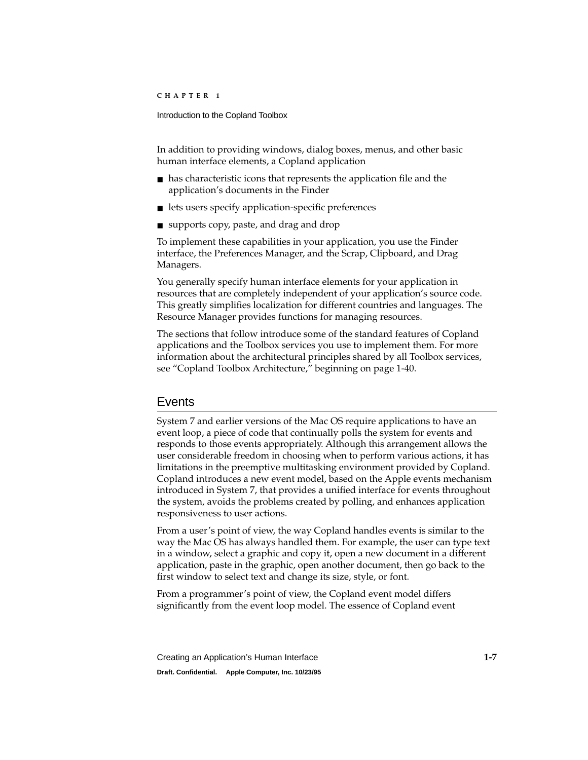In addition to providing windows, dialog boxes, menus, and other basic human interface elements, a Copland application

- has characteristic icons that represents the application file and the application's documents in the Finder
- lets users specify application-specific preferences
- supports copy, paste, and drag and drop

To implement these capabilities in your application, you use the Finder interface, the Preferences Manager, and the Scrap, Clipboard, and Drag Managers.

You generally specify human interface elements for your application in resources that are completely independent of your application's source code. This greatly simplifies localization for different countries and languages. The Resource Manager provides functions for managing resources.

The sections that follow introduce some of the standard features of Copland applications and the Toolbox services you use to implement them. For more information about the architectural principles shared by all Toolbox services, see "Copland Toolbox Architecture," beginning on page 1-40.

# Events and the second second second second second second second second second second second second second second second second second second second second second second second second second second second second second seco

System 7 and earlier versions of the Mac OS require applications to have an event loop, a piece of code that continually polls the system for events and responds to those events appropriately. Although this arrangement allows the user considerable freedom in choosing when to perform various actions, it has limitations in the preemptive multitasking environment provided by Copland. Copland introduces a new event model, based on the Apple events mechanism introduced in System 7, that provides a unified interface for events throughout the system, avoids the problems created by polling, and enhances application responsiveness to user actions.

From a user's point of view, the way Copland handles events is similar to the way the Mac OS has always handled them. For example, the user can type text in a window, select a graphic and copy it, open a new document in a different application, paste in the graphic, open another document, then go back to the first window to select text and change its size, style, or font.

From a programmer's point of view, the Copland event model differs significantly from the event loop model. The essence of Copland event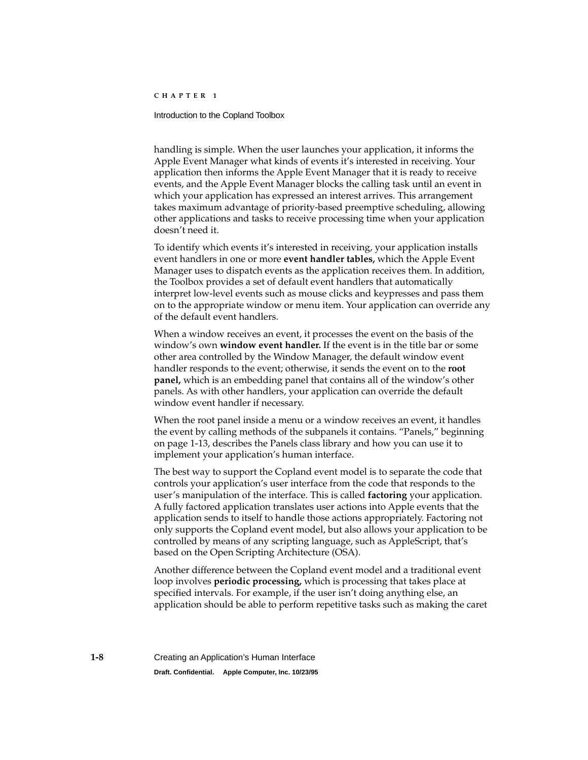### Introduction to the Copland Toolbox

handling is simple. When the user launches your application, it informs the Apple Event Manager what kinds of events it's interested in receiving. Your application then informs the Apple Event Manager that it is ready to receive events, and the Apple Event Manager blocks the calling task until an event in which your application has expressed an interest arrives. This arrangement takes maximum advantage of priority-based preemptive scheduling, allowing other applications and tasks to receive processing time when your application doesn't need it.

To identify which events it's interested in receiving, your application installs event handlers in one or more **event handler tables,** which the Apple Event Manager uses to dispatch events as the application receives them. In addition, the Toolbox provides a set of default event handlers that automatically interpret low-level events such as mouse clicks and keypresses and pass them on to the appropriate window or menu item. Your application can override any of the default event handlers.

When a window receives an event, it processes the event on the basis of the window's own **window event handler.** If the event is in the title bar or some other area controlled by the Window Manager, the default window event handler responds to the event; otherwise, it sends the event on to the **root panel,** which is an embedding panel that contains all of the window's other panels. As with other handlers, your application can override the default window event handler if necessary.

When the root panel inside a menu or a window receives an event, it handles the event by calling methods of the subpanels it contains. "Panels," beginning on page 1-13, describes the Panels class library and how you can use it to implement your application's human interface.

The best way to support the Copland event model is to separate the code that controls your application's user interface from the code that responds to the user's manipulation of the interface. This is called **factoring** your application. A fully factored application translates user actions into Apple events that the application sends to itself to handle those actions appropriately. Factoring not only supports the Copland event model, but also allows your application to be controlled by means of any scripting language, such as AppleScript, that's based on the Open Scripting Architecture (OSA).

Another difference between the Copland event model and a traditional event loop involves **periodic processing,** which is processing that takes place at specified intervals. For example, if the user isn't doing anything else, an application should be able to perform repetitive tasks such as making the caret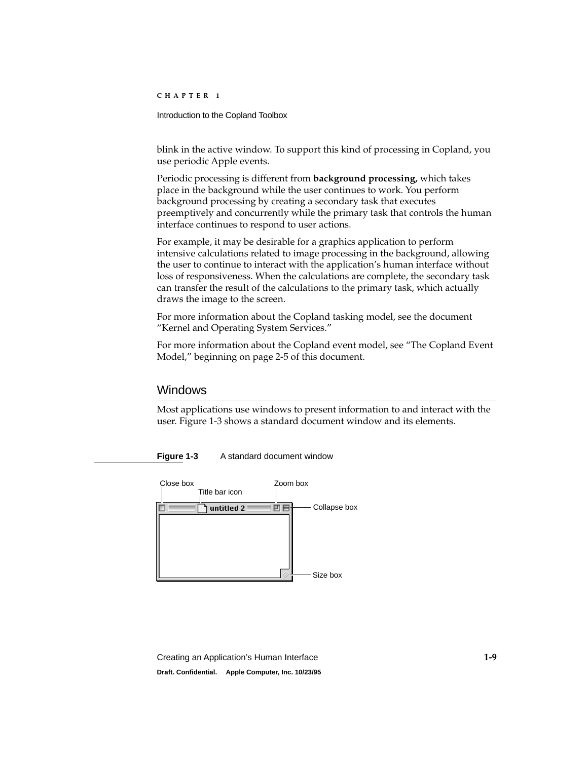Introduction to the Copland Toolbox

blink in the active window. To support this kind of processing in Copland, you use periodic Apple events.

Periodic processing is different from **background processing,** which takes place in the background while the user continues to work. You perform background processing by creating a secondary task that executes preemptively and concurrently while the primary task that controls the human interface continues to respond to user actions.

For example, it may be desirable for a graphics application to perform intensive calculations related to image processing in the background, allowing the user to continue to interact with the application's human interface without loss of responsiveness. When the calculations are complete, the secondary task can transfer the result of the calculations to the primary task, which actually draws the image to the screen.

For more information about the Copland tasking model, see the document "Kernel and Operating System Services."

For more information about the Copland event model, see "The Copland Event Model," beginning on page 2-5 of this document.

# Windows

Most applications use windows to present information to and interact with the user. Figure 1-3 shows a standard document window and its elements.

**Figure 1-3** A standard document window

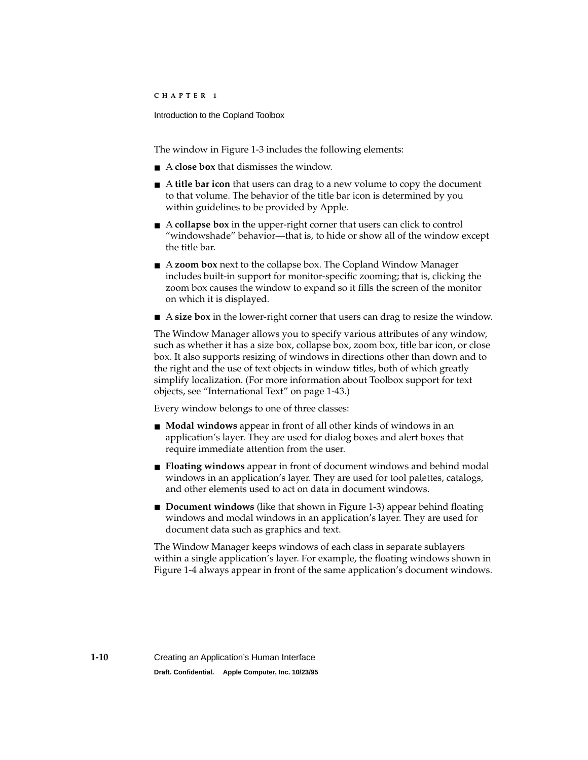Introduction to the Copland Toolbox

The window in Figure 1-3 includes the following elements:

- A **close box** that dismisses the window.
- A **title bar icon** that users can drag to a new volume to copy the document to that volume. The behavior of the title bar icon is determined by you within guidelines to be provided by Apple*.*
- A **collapse box** in the upper-right corner that users can click to control "windowshade" behavior—that is, to hide or show all of the window except the title bar.
- A **zoom box** next to the collapse box. The Copland Window Manager includes built-in support for monitor-specific zooming; that is, clicking the zoom box causes the window to expand so it fills the screen of the monitor on which it is displayed.
- A **size box** in the lower-right corner that users can drag to resize the window.

The Window Manager allows you to specify various attributes of any window, such as whether it has a size box, collapse box, zoom box, title bar icon, or close box. It also supports resizing of windows in directions other than down and to the right and the use of text objects in window titles, both of which greatly simplify localization. (For more information about Toolbox support for text objects, see "International Text" on page 1-43.)

Every window belongs to one of three classes:

- **Modal windows** appear in front of all other kinds of windows in an application's layer. They are used for dialog boxes and alert boxes that require immediate attention from the user.
- **Floating windows** appear in front of document windows and behind modal windows in an application's layer. They are used for tool palettes, catalogs, and other elements used to act on data in document windows.
- **Document windows** (like that shown in Figure 1-3) appear behind floating windows and modal windows in an application's layer. They are used for document data such as graphics and text.

The Window Manager keeps windows of each class in separate sublayers within a single application's layer. For example, the floating windows shown in Figure 1-4 always appear in front of the same application's document windows.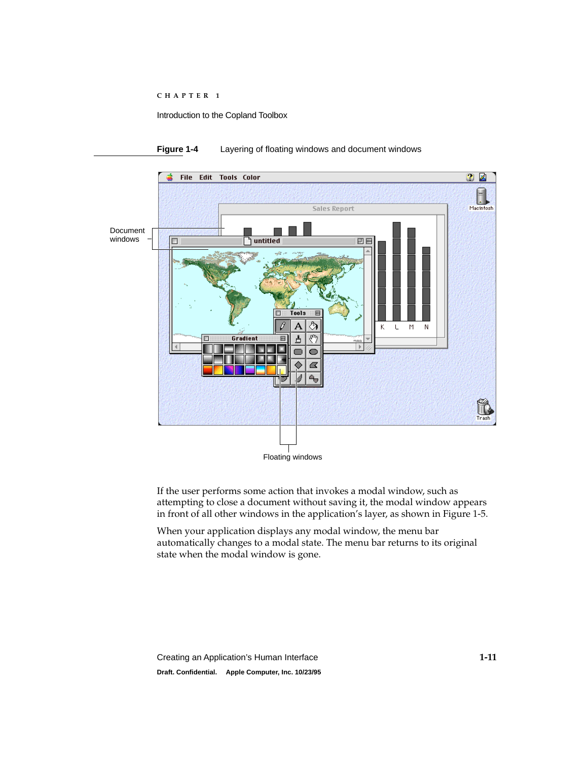Introduction to the Copland Toolbox



# **Figure 1-4** Layering of floating windows and document windows

If the user performs some action that invokes a modal window, such as attempting to close a document without saving it, the modal window appears in front of all other windows in the application's layer, as shown in Figure 1-5.

When your application displays any modal window, the menu bar automatically changes to a modal state. The menu bar returns to its original state when the modal window is gone.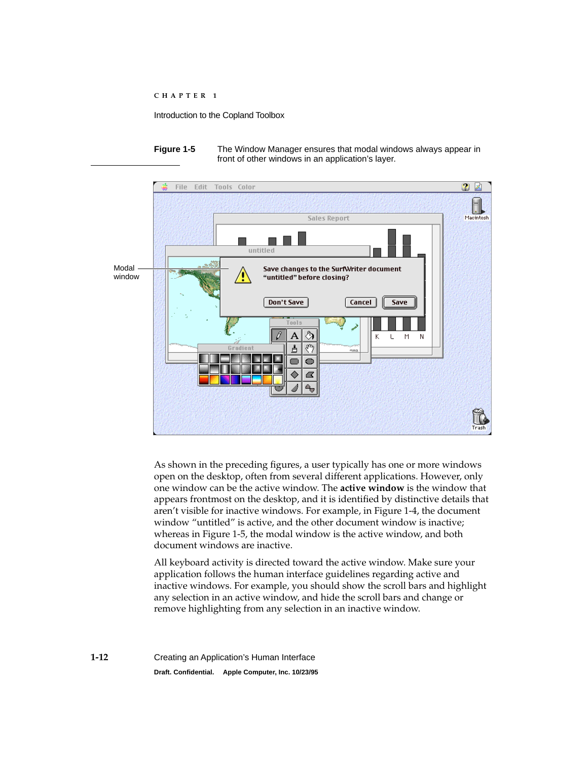Introduction to the Copland Toolbox





As shown in the preceding figures, a user typically has one or more windows open on the desktop, often from several different applications. However, only one window can be the active window. The **active window** is the window that appears frontmost on the desktop, and it is identified by distinctive details that aren't visible for inactive windows. For example, in Figure 1-4, the document window "untitled" is active, and the other document window is inactive; whereas in Figure 1-5, the modal window is the active window, and both document windows are inactive.

All keyboard activity is directed toward the active window. Make sure your application follows the human interface guidelines regarding active and inactive windows. For example, you should show the scroll bars and highlight any selection in an active window, and hide the scroll bars and change or remove highlighting from any selection in an inactive window.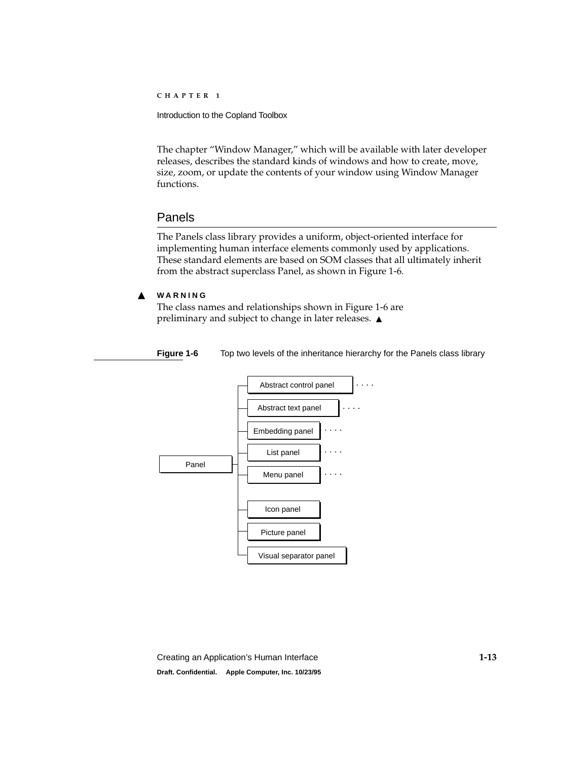Introduction to the Copland Toolbox

The chapter "Window Manager," which will be available with later developer releases, describes the standard kinds of windows and how to create, move, size, zoom, or update the contents of your window using Window Manager functions.

# Panels **1999 Panels** 1999 *Panels*

The Panels class library provides a uniform, object-oriented interface for implementing human interface elements commonly used by applications. These standard elements are based on SOM classes that all ultimately inherit from the abstract superclass Panel, as shown in Figure 1-6.

# **WARNING**

The class names and relationships shown in Figure 1-6 are preliminary and subject to change in later releases. ▲

**Figure 1-6** Top two levels of the inheritance hierarchy for the Panels class library

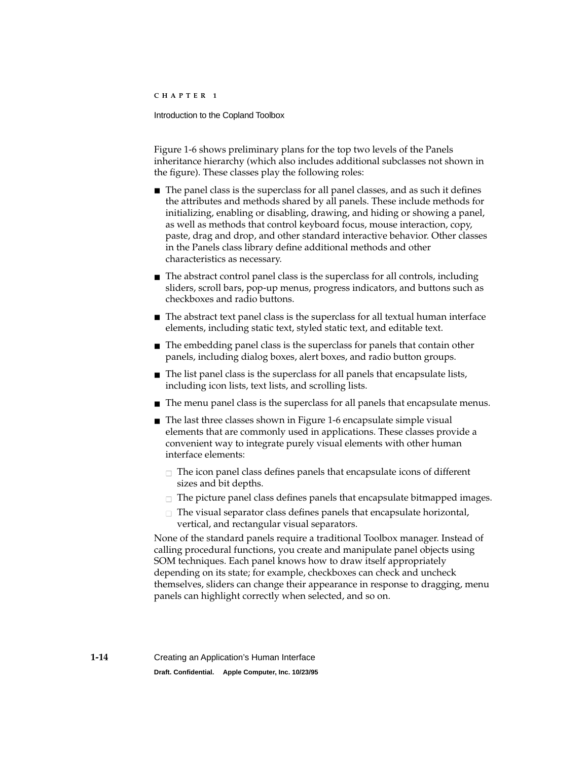Introduction to the Copland Toolbox

Figure 1-6 shows preliminary plans for the top two levels of the Panels inheritance hierarchy (which also includes additional subclasses not shown in the figure). These classes play the following roles:

- The panel class is the superclass for all panel classes, and as such it defines the attributes and methods shared by all panels. These include methods for initializing, enabling or disabling, drawing, and hiding or showing a panel, as well as methods that control keyboard focus, mouse interaction, copy, paste, drag and drop, and other standard interactive behavior. Other classes in the Panels class library define additional methods and other characteristics as necessary.
- The abstract control panel class is the superclass for all controls, including sliders, scroll bars, pop-up menus, progress indicators, and buttons such as checkboxes and radio buttons.
- The abstract text panel class is the superclass for all textual human interface elements, including static text, styled static text, and editable text.
- The embedding panel class is the superclass for panels that contain other panels, including dialog boxes, alert boxes, and radio button groups.
- The list panel class is the superclass for all panels that encapsulate lists, including icon lists, text lists, and scrolling lists.
- The menu panel class is the superclass for all panels that encapsulate menus.
- The last three classes shown in Figure 1-6 encapsulate simple visual elements that are commonly used in applications. These classes provide a convenient way to integrate purely visual elements with other human interface elements:
	- $\Box$  The icon panel class defines panels that encapsulate icons of different sizes and bit depths.
	- $\Box$  The picture panel class defines panels that encapsulate bitmapped images.
	- $\Box$  The visual separator class defines panels that encapsulate horizontal, vertical, and rectangular visual separators.

None of the standard panels require a traditional Toolbox manager. Instead of calling procedural functions, you create and manipulate panel objects using SOM techniques. Each panel knows how to draw itself appropriately depending on its state; for example, checkboxes can check and uncheck themselves, sliders can change their appearance in response to dragging, menu panels can highlight correctly when selected, and so on.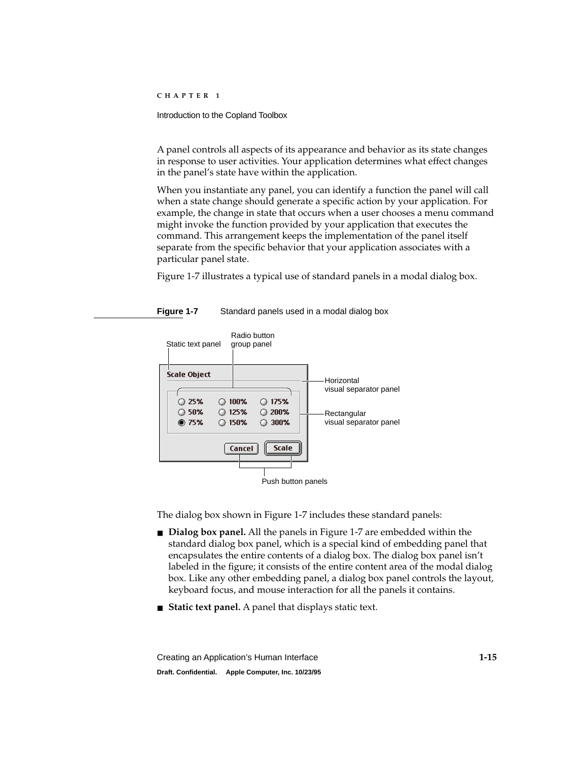Introduction to the Copland Toolbox

A panel controls all aspects of its appearance and behavior as its state changes in response to user activities. Your application determines what effect changes in the panel's state have within the application.

When you instantiate any panel, you can identify a function the panel will call when a state change should generate a specific action by your application. For example, the change in state that occurs when a user chooses a menu command might invoke the function provided by your application that executes the command. This arrangement keeps the implementation of the panel itself separate from the specific behavior that your application associates with a particular panel state.

Figure 1-7 illustrates a typical use of standard panels in a modal dialog box.



**Figure 1-7** Standard panels used in a modal dialog box

The dialog box shown in Figure 1-7 includes these standard panels:

- **Dialog box panel.** All the panels in Figure 1-7 are embedded within the standard dialog box panel, which is a special kind of embedding panel that encapsulates the entire contents of a dialog box. The dialog box panel isn't labeled in the figure; it consists of the entire content area of the modal dialog box. Like any other embedding panel, a dialog box panel controls the layout, keyboard focus, and mouse interaction for all the panels it contains.
- **Static text panel.** A panel that displays static text.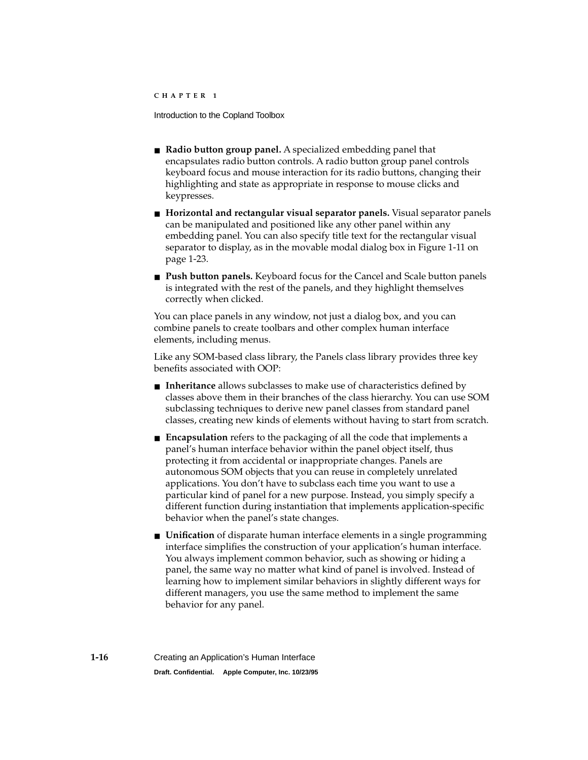- **Radio button group panel.** A specialized embedding panel that encapsulates radio button controls. A radio button group panel controls keyboard focus and mouse interaction for its radio buttons, changing their highlighting and state as appropriate in response to mouse clicks and keypresses.
- **Horizontal and rectangular visual separator panels.** Visual separator panels can be manipulated and positioned like any other panel within any embedding panel. You can also specify title text for the rectangular visual separator to display, as in the movable modal dialog box in Figure 1-11 on page 1-23.
- **Push button panels.** Keyboard focus for the Cancel and Scale button panels is integrated with the rest of the panels, and they highlight themselves correctly when clicked.

You can place panels in any window, not just a dialog box, and you can combine panels to create toolbars and other complex human interface elements, including menus.

Like any SOM-based class library, the Panels class library provides three key benefits associated with OOP:

- **Inheritance** allows subclasses to make use of characteristics defined by classes above them in their branches of the class hierarchy. You can use SOM subclassing techniques to derive new panel classes from standard panel classes, creating new kinds of elements without having to start from scratch.
- **Encapsulation** refers to the packaging of all the code that implements a panel's human interface behavior within the panel object itself, thus protecting it from accidental or inappropriate changes. Panels are autonomous SOM objects that you can reuse in completely unrelated applications. You don't have to subclass each time you want to use a particular kind of panel for a new purpose. Instead, you simply specify a different function during instantiation that implements application-specific behavior when the panel's state changes.
- **Unification** of disparate human interface elements in a single programming interface simplifies the construction of your application's human interface. You always implement common behavior, such as showing or hiding a panel, the same way no matter what kind of panel is involved. Instead of learning how to implement similar behaviors in slightly different ways for different managers, you use the same method to implement the same behavior for any panel.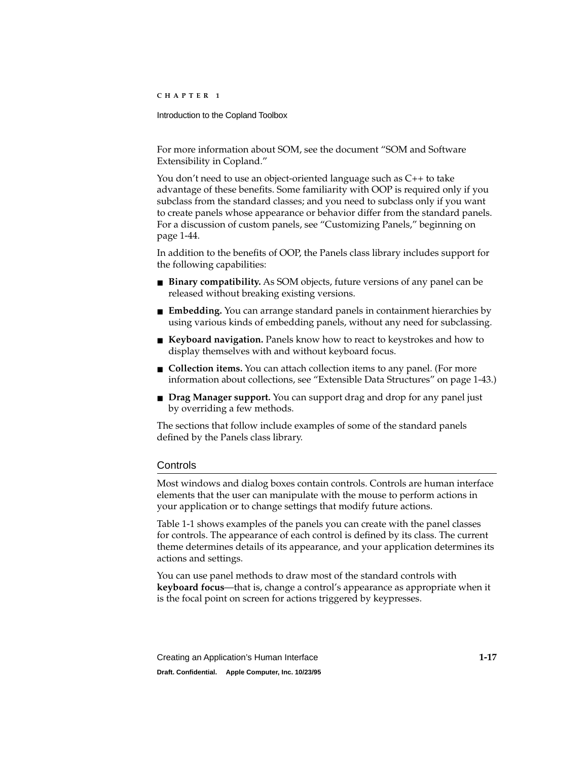Introduction to the Copland Toolbox

For more information about SOM, see the document "SOM and Software Extensibility in Copland."

You don't need to use an object-oriented language such as C++ to take advantage of these benefits. Some familiarity with OOP is required only if you subclass from the standard classes; and you need to subclass only if you want to create panels whose appearance or behavior differ from the standard panels. For a discussion of custom panels, see "Customizing Panels," beginning on page 1-44.

In addition to the benefits of OOP, the Panels class library includes support for the following capabilities:

- **Binary compatibility.** As SOM objects, future versions of any panel can be released without breaking existing versions.
- **Embedding.** You can arrange standard panels in containment hierarchies by using various kinds of embedding panels, without any need for subclassing.
- **Keyboard navigation.** Panels know how to react to keystrokes and how to display themselves with and without keyboard focus.
- **Collection items.** You can attach collection items to any panel. (For more information about collections, see "Extensible Data Structures" on page 1-43.)
- **Drag Manager support.** You can support drag and drop for any panel just by overriding a few methods.

The sections that follow include examples of some of the standard panels defined by the Panels class library.

# **Controls** 1999 **Controls** 1999 **Controls** 1999 **Controls**

Most windows and dialog boxes contain controls. Controls are human interface elements that the user can manipulate with the mouse to perform actions in your application or to change settings that modify future actions.

Table 1-1 shows examples of the panels you can create with the panel classes for controls. The appearance of each control is defined by its class. The current theme determines details of its appearance, and your application determines its actions and settings.

You can use panel methods to draw most of the standard controls with **keyboard focus**—that is, change a control's appearance as appropriate when it is the focal point on screen for actions triggered by keypresses.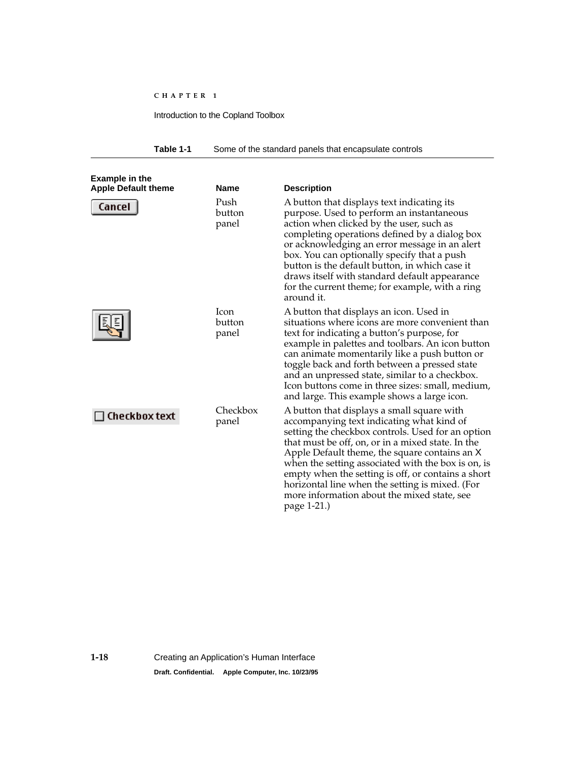**Table 1-1** Some of the standard panels that encapsulate controls

| <b>Example in the</b><br><b>Apple Default theme</b> | <b>Name</b>             | <b>Description</b>                                                                                                                                                                                                                                                                                                                                                                                                                                                              |
|-----------------------------------------------------|-------------------------|---------------------------------------------------------------------------------------------------------------------------------------------------------------------------------------------------------------------------------------------------------------------------------------------------------------------------------------------------------------------------------------------------------------------------------------------------------------------------------|
| Cancel                                              | Push<br>button<br>panel | A button that displays text indicating its<br>purpose. Used to perform an instantaneous<br>action when clicked by the user, such as<br>completing operations defined by a dialog box<br>or acknowledging an error message in an alert<br>box. You can optionally specify that a push<br>button is the default button, in which case it<br>draws itself with standard default appearance<br>for the current theme; for example, with a ring<br>around it.                        |
|                                                     | Icon<br>button<br>panel | A button that displays an icon. Used in<br>situations where icons are more convenient than<br>text for indicating a button's purpose, for<br>example in palettes and toolbars. An icon button<br>can animate momentarily like a push button or<br>toggle back and forth between a pressed state<br>and an unpressed state, similar to a checkbox.<br>Icon buttons come in three sizes: small, medium,<br>and large. This example shows a large icon.                            |
| Checkbox text                                       | Checkbox<br>panel       | A button that displays a small square with<br>accompanying text indicating what kind of<br>setting the checkbox controls. Used for an option<br>that must be off, on, or in a mixed state. In the<br>Apple Default theme, the square contains an X<br>when the setting associated with the box is on, is<br>empty when the setting is off, or contains a short<br>horizontal line when the setting is mixed. (For<br>more information about the mixed state, see<br>page 1-21.) |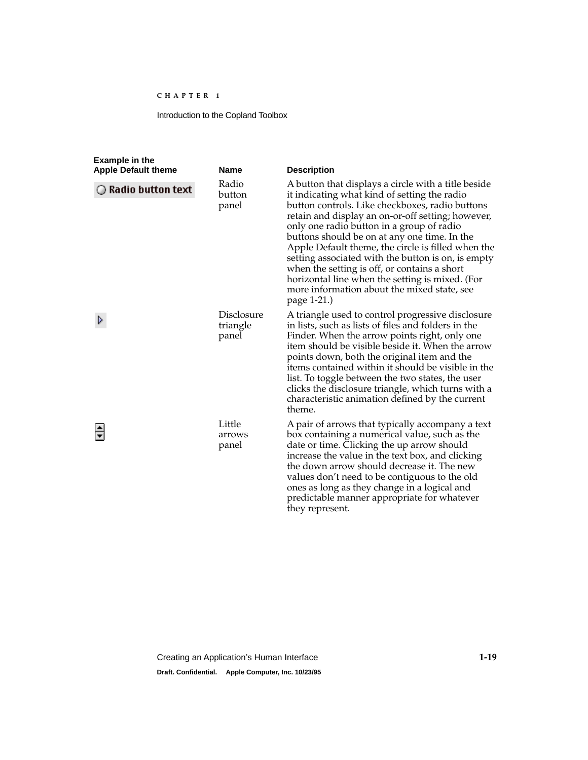| <b>Example in the</b><br><b>Apple Default theme</b> | <b>Name</b>                            | <b>Description</b>                                                                                                                                                                                                                                                                                                                                                                                                                                                                                                                                                                    |
|-----------------------------------------------------|----------------------------------------|---------------------------------------------------------------------------------------------------------------------------------------------------------------------------------------------------------------------------------------------------------------------------------------------------------------------------------------------------------------------------------------------------------------------------------------------------------------------------------------------------------------------------------------------------------------------------------------|
| $\bigcirc$ Radio button text $\hspace{0.1mm}$       | Radio<br>button<br>panel               | A button that displays a circle with a title beside<br>it indicating what kind of setting the radio<br>button controls. Like checkboxes, radio buttons<br>retain and display an on-or-off setting; however,<br>only one radio button in a group of radio<br>buttons should be on at any one time. In the<br>Apple Default theme, the circle is filled when the<br>setting associated with the button is on, is empty<br>when the setting is off, or contains a short<br>horizontal line when the setting is mixed. (For<br>more information about the mixed state, see<br>page 1-21.) |
|                                                     | <b>Disclosure</b><br>triangle<br>panel | A triangle used to control progressive disclosure<br>in lists, such as lists of files and folders in the<br>Finder. When the arrow points right, only one<br>item should be visible beside it. When the arrow<br>points down, both the original item and the<br>items contained within it should be visible in the<br>list. To toggle between the two states, the user<br>clicks the disclosure triangle, which turns with a<br>characteristic animation defined by the current<br>theme.                                                                                             |
|                                                     | Little<br>arrows<br>panel              | A pair of arrows that typically accompany a text<br>box containing a numerical value, such as the<br>date or time. Clicking the up arrow should<br>increase the value in the text box, and clicking<br>the down arrow should decrease it. The new<br>values don't need to be contiguous to the old<br>ones as long as they change in a logical and<br>predictable manner appropriate for whatever<br>they represent.                                                                                                                                                                  |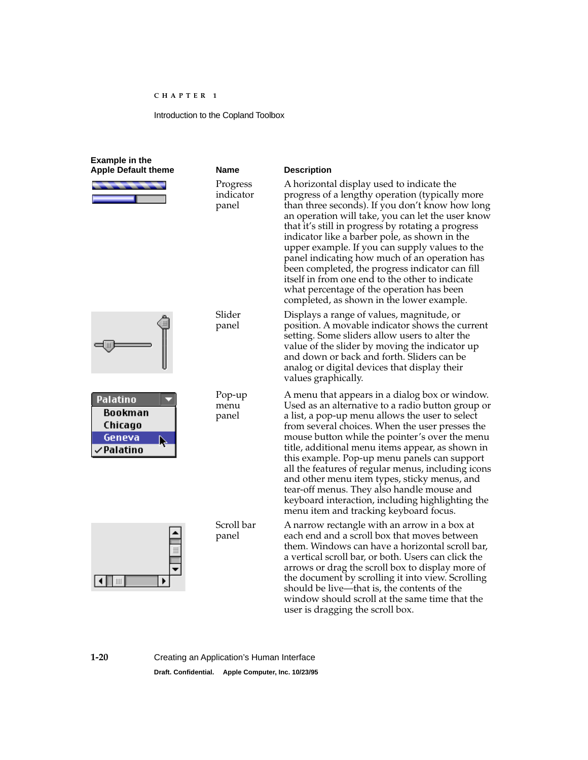| <b>Example in the</b><br><b>Apple Default theme</b>   | Name                           | <b>Description</b>                                                                                                                                                                                                                                                                                                                                                                                                                                                                                                                                                                                                |
|-------------------------------------------------------|--------------------------------|-------------------------------------------------------------------------------------------------------------------------------------------------------------------------------------------------------------------------------------------------------------------------------------------------------------------------------------------------------------------------------------------------------------------------------------------------------------------------------------------------------------------------------------------------------------------------------------------------------------------|
|                                                       | Progress<br>indicator<br>panel | A horizontal display used to indicate the<br>progress of a lengthy operation (typically more<br>than three seconds). If you don't know how long<br>an operation will take, you can let the user know<br>that it's still in progress by rotating a progress<br>indicator like a barber pole, as shown in the<br>upper example. If you can supply values to the<br>panel indicating how much of an operation has<br>been completed, the progress indicator can fill<br>itself in from one end to the other to indicate<br>what percentage of the operation has been<br>completed, as shown in the lower example.    |
|                                                       | Slider<br>panel                | Displays a range of values, magnitude, or<br>position. A movable indicator shows the current<br>setting. Some sliders allow users to alter the<br>value of the slider by moving the indicator up<br>and down or back and forth. Sliders can be<br>analog or digital devices that display their<br>values graphically.                                                                                                                                                                                                                                                                                             |
| Palatino<br>Bookman<br>Chicago<br>Geneva<br>/Palatino | Pop-up<br>menu<br>panel        | A menu that appears in a dialog box or window.<br>Used as an alternative to a radio button group or<br>a list, a pop-up menu allows the user to select<br>from several choices. When the user presses the<br>mouse button while the pointer's over the menu<br>title, additional menu items appear, as shown in<br>this example. Pop-up menu panels can support<br>all the features of regular menus, including icons<br>and other menu item types, sticky menus, and<br>tear-off menus. They also handle mouse and<br>keyboard interaction, including highlighting the<br>menu item and tracking keyboard focus. |
| Ш                                                     | Scroll bar<br>panel            | A narrow rectangle with an arrow in a box at<br>each end and a scroll box that moves between<br>them. Windows can have a horizontal scroll bar,<br>a vertical scroll bar, or both. Users can click the<br>arrows or drag the scroll box to display more of<br>the document by scrolling it into view. Scrolling<br>should be live-that is, the contents of the<br>window should scroll at the same time that the<br>user is dragging the scroll box.                                                                                                                                                              |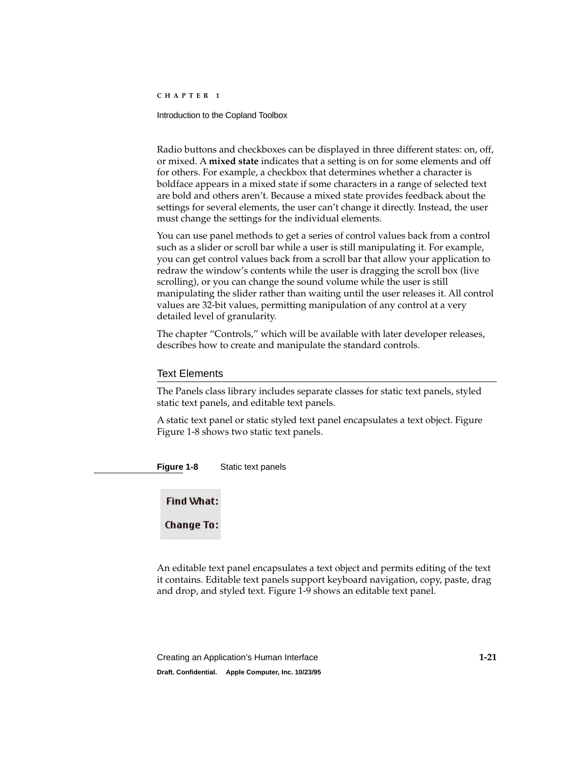Introduction to the Copland Toolbox

Radio buttons and checkboxes can be displayed in three different states: on, off, or mixed. A **mixed state** indicates that a setting is on for some elements and off for others. For example, a checkbox that determines whether a character is boldface appears in a mixed state if some characters in a range of selected text are bold and others aren't. Because a mixed state provides feedback about the settings for several elements, the user can't change it directly. Instead, the user must change the settings for the individual elements.

You can use panel methods to get a series of control values back from a control such as a slider or scroll bar while a user is still manipulating it. For example, you can get control values back from a scroll bar that allow your application to redraw the window's contents while the user is dragging the scroll box (live scrolling), or you can change the sound volume while the user is still manipulating the slider rather than waiting until the user releases it. All control values are 32-bit values, permitting manipulation of any control at a very detailed level of granularity.

The chapter "Controls," which will be available with later developer releases, describes how to create and manipulate the standard controls.

# Text Elements 1

The Panels class library includes separate classes for static text panels, styled static text panels, and editable text panels.

A static text panel or static styled text panel encapsulates a text object. Figure Figure 1-8 shows two static text panels.

**Figure 1-8** Static text panels

**Find What:** 

Change To:

An editable text panel encapsulates a text object and permits editing of the text it contains. Editable text panels support keyboard navigation, copy, paste, drag and drop, and styled text. Figure 1-9 shows an editable text panel.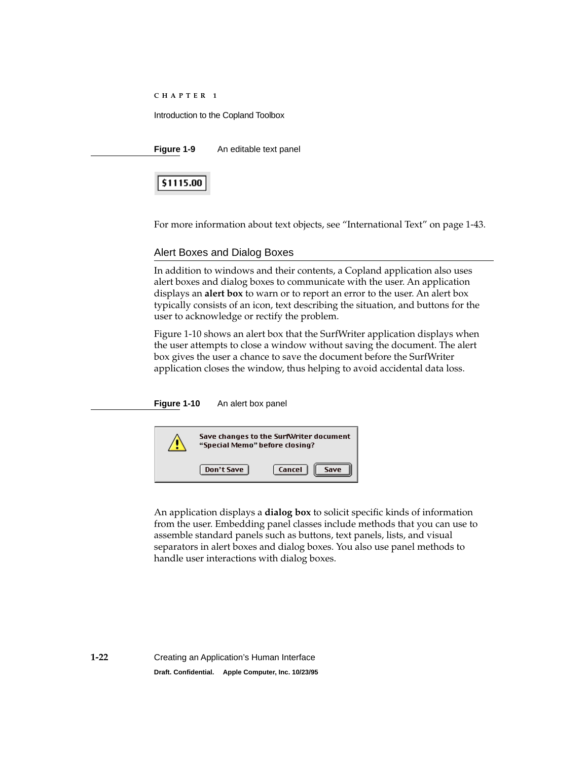Introduction to the Copland Toolbox

**Figure 1-9** An editable text panel

# \$1115.00

For more information about text objects, see "International Text" on page 1-43.

# Alert Boxes and Dialog Boxes 1

In addition to windows and their contents, a Copland application also uses alert boxes and dialog boxes to communicate with the user. An application displays an **alert box** to warn or to report an error to the user. An alert box typically consists of an icon, text describing the situation, and buttons for the user to acknowledge or rectify the problem.

Figure 1-10 shows an alert box that the SurfWriter application displays when the user attempts to close a window without saving the document. The alert box gives the user a chance to save the document before the SurfWriter application closes the window, thus helping to avoid accidental data loss.

**Figure 1-10** An alert box panel



An application displays a **dialog box** to solicit specific kinds of information from the user. Embedding panel classes include methods that you can use to assemble standard panels such as buttons, text panels, lists, and visual separators in alert boxes and dialog boxes. You also use panel methods to handle user interactions with dialog boxes.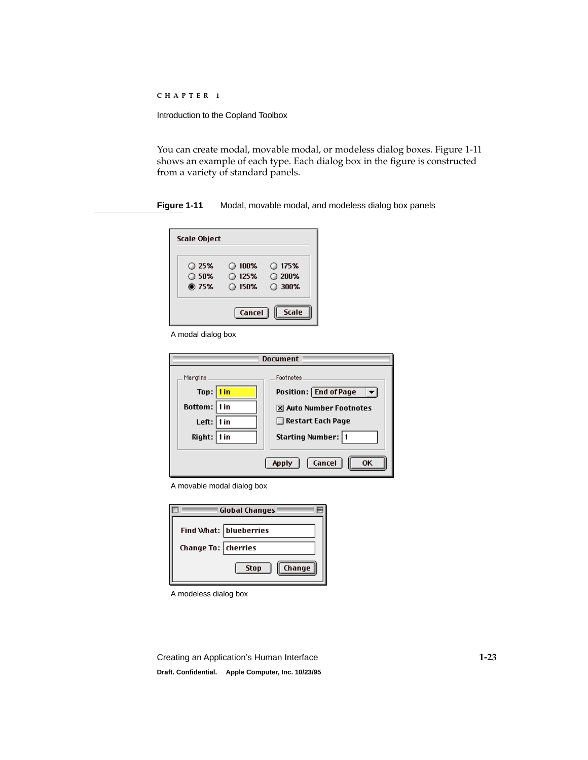You can create modal, movable modal, or modeless dialog boxes. Figure 1-11 shows an example of each type. Each dialog box in the figure is constructed from a variety of standard panels.

**Figure 1-11** Modal, movable modal, and modeless dialog box panels

| <b>Scale Object</b> |                 |                                 |
|---------------------|-----------------|---------------------------------|
| $\odot$ 25%         | $\bigcirc$ 100% | ◎ 175%                          |
| ○ 50%               |                 | $\bigcirc$ 125% $\bigcirc$ 200% |
| ● 75%               | $\odot$ 150%    | $\bigcirc$ 300%                 |
|                     | Cancel          | <b>Scale</b>                    |

A modal dialog box

|                | <b>Document</b>              |
|----------------|------------------------------|
| Margins        | Footnotes                    |
| Top: 1in       | Position:   End of Page      |
| Bottom: 1 in   | X Auto Number Footnotes      |
| Left: $1$ in   | $\Box$ Restart Each Page     |
| Right:<br>1 in | Starting Number: 1           |
|                | Cancel<br><b>Apply</b><br>OК |

A movable modal dialog box

|                     | <b>Global Changes</b>        |
|---------------------|------------------------------|
|                     | Find What:   blueberries     |
| Change To: Cherries |                              |
|                     | <b>Change</b><br><b>Stop</b> |

A modeless dialog box

Creating an Application's Human Interface **1-23 Draft. Confidential. Apple Computer, Inc. 10/23/95**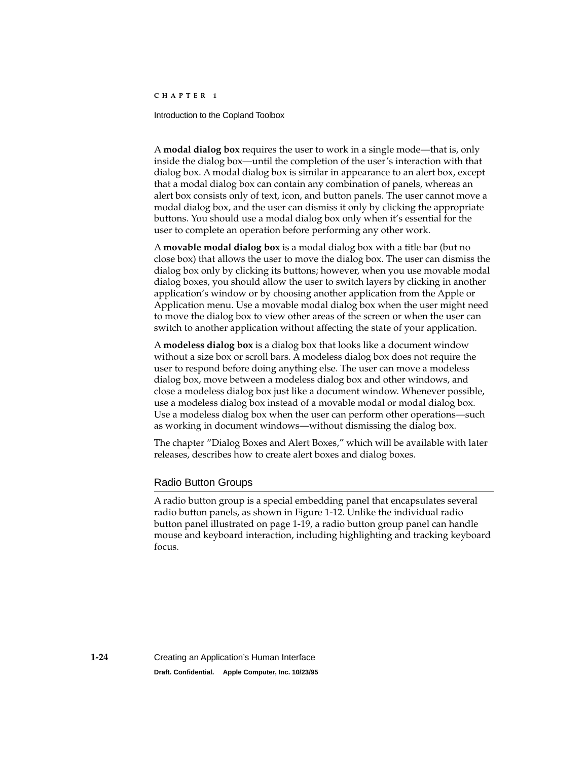Introduction to the Copland Toolbox

A **modal dialog box** requires the user to work in a single mode—that is, only inside the dialog box—until the completion of the user's interaction with that dialog box. A modal dialog box is similar in appearance to an alert box, except that a modal dialog box can contain any combination of panels, whereas an alert box consists only of text, icon, and button panels. The user cannot move a modal dialog box, and the user can dismiss it only by clicking the appropriate buttons. You should use a modal dialog box only when it's essential for the user to complete an operation before performing any other work.

A **movable modal dialog box** is a modal dialog box with a title bar (but no close box) that allows the user to move the dialog box. The user can dismiss the dialog box only by clicking its buttons; however, when you use movable modal dialog boxes, you should allow the user to switch layers by clicking in another application's window or by choosing another application from the Apple or Application menu. Use a movable modal dialog box when the user might need to move the dialog box to view other areas of the screen or when the user can switch to another application without affecting the state of your application.

A **modeless dialog box** is a dialog box that looks like a document window without a size box or scroll bars. A modeless dialog box does not require the user to respond before doing anything else. The user can move a modeless dialog box, move between a modeless dialog box and other windows, and close a modeless dialog box just like a document window. Whenever possible, use a modeless dialog box instead of a movable modal or modal dialog box. Use a modeless dialog box when the user can perform other operations—such as working in document windows—without dismissing the dialog box.

The chapter "Dialog Boxes and Alert Boxes," which will be available with later releases, describes how to create alert boxes and dialog boxes.

# Radio Button Groups 1

A radio button group is a special embedding panel that encapsulates several radio button panels, as shown in Figure 1-12. Unlike the individual radio button panel illustrated on page 1-19, a radio button group panel can handle mouse and keyboard interaction, including highlighting and tracking keyboard focus.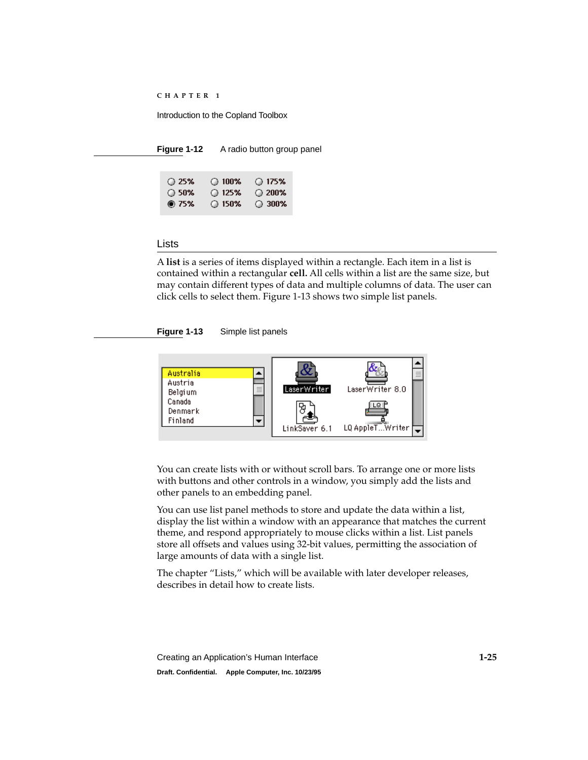Introduction to the Copland Toolbox

**Figure 1-12** A radio button group panel

| $\circ$ 25% | $\odot$ 100% | Q175%        |
|-------------|--------------|--------------|
| ○ 50%       | $\odot$ 125% | $\odot$ 200% |
| ◉ 75%       | ○ 150%       | $\odot$ 300% |

# Lists 1

A **list** is a series of items displayed within a rectangle. Each item in a list is contained within a rectangular **cell.** All cells within a list are the same size, but may contain different types of data and multiple columns of data. The user can click cells to select them. Figure 1-13 shows two simple list panels.

# **Figure 1-13** Simple list panels



You can create lists with or without scroll bars. To arrange one or more lists with buttons and other controls in a window, you simply add the lists and other panels to an embedding panel.

You can use list panel methods to store and update the data within a list, display the list within a window with an appearance that matches the current theme, and respond appropriately to mouse clicks within a list. List panels store all offsets and values using 32-bit values, permitting the association of large amounts of data with a single list.

The chapter "Lists," which will be available with later developer releases, describes in detail how to create lists.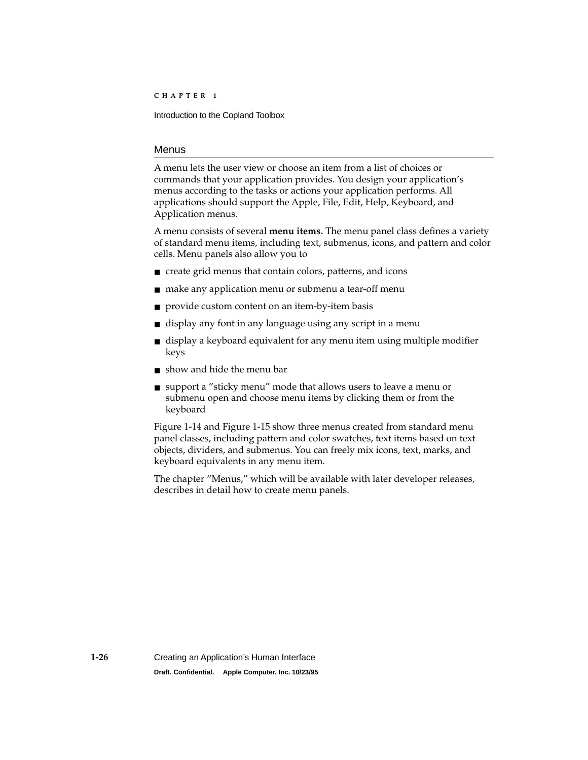# Menus **1996 Menus** 1996 **Menus** 1997 **Menus** 1997 **Menus** 1997 **Menus** 1997 **Menus**

A menu lets the user view or choose an item from a list of choices or commands that your application provides. You design your application's menus according to the tasks or actions your application performs. All applications should support the Apple, File, Edit, Help, Keyboard, and Application menus.

A menu consists of several **menu items.** The menu panel class defines a variety of standard menu items, including text, submenus, icons, and pattern and color cells. Menu panels also allow you to

- create grid menus that contain colors, patterns, and icons
- make any application menu or submenu a tear-off menu
- provide custom content on an item-by-item basis
- display any font in any language using any script in a menu
- display a keyboard equivalent for any menu item using multiple modifier keys
- show and hide the menu bar
- support a "sticky menu" mode that allows users to leave a menu or submenu open and choose menu items by clicking them or from the keyboard

Figure 1-14 and Figure 1-15 show three menus created from standard menu panel classes, including pattern and color swatches, text items based on text objects, dividers, and submenus. You can freely mix icons, text, marks, and keyboard equivalents in any menu item.

The chapter "Menus," which will be available with later developer releases, describes in detail how to create menu panels.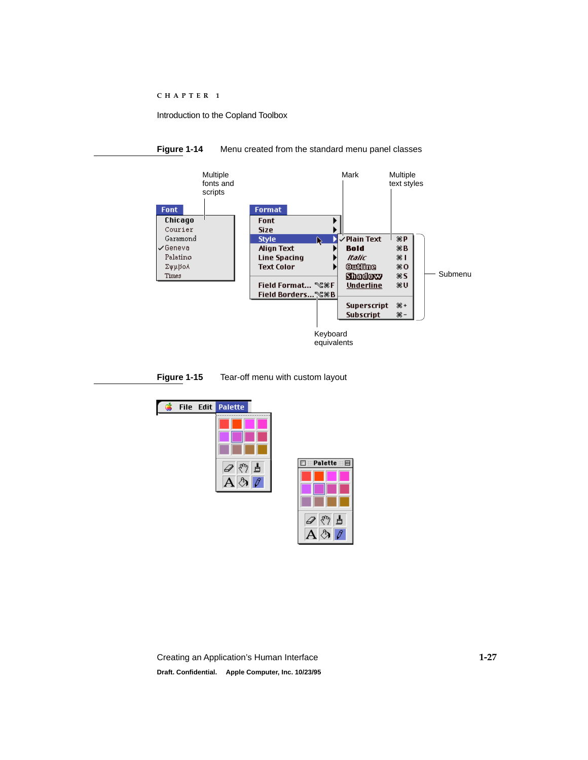







| <b>Palette</b><br>⊨ |
|---------------------|
|                     |
|                     |
|                     |
|                     |
| 5                   |
|                     |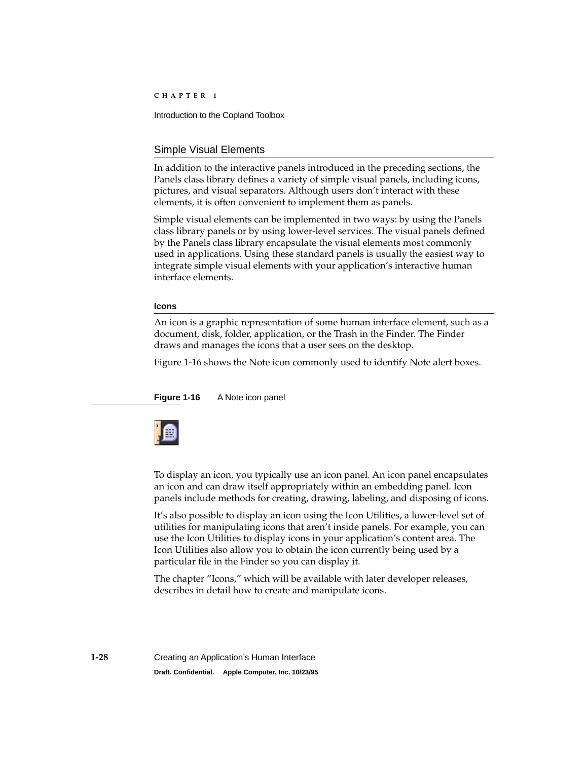Introduction to the Copland Toolbox

# Simple Visual Elements 1

In addition to the interactive panels introduced in the preceding sections, the Panels class library defines a variety of simple visual panels, including icons, pictures, and visual separators. Although users don't interact with these elements, it is often convenient to implement them as panels.

Simple visual elements can be implemented in two ways: by using the Panels class library panels or by using lower-level services. The visual panels defined by the Panels class library encapsulate the visual elements most commonly used in applications. Using these standard panels is usually the easiest way to integrate simple visual elements with your application's interactive human interface elements.

## **Icons 1**

An icon is a graphic representation of some human interface element, such as a document, disk, folder, application, or the Trash in the Finder. The Finder draws and manages the icons that a user sees on the desktop.

Figure 1-16 shows the Note icon commonly used to identify Note alert boxes.

**Figure 1-16** A Note icon panel



To display an icon, you typically use an icon panel. An icon panel encapsulates an icon and can draw itself appropriately within an embedding panel. Icon panels include methods for creating, drawing, labeling, and disposing of icons.

It's also possible to display an icon using the Icon Utilities, a lower-level set of utilities for manipulating icons that aren't inside panels. For example, you can use the Icon Utilities to display icons in your application's content area. The Icon Utilities also allow you to obtain the icon currently being used by a particular file in the Finder so you can display it.

The chapter "Icons," which will be available with later developer releases, describes in detail how to create and manipulate icons.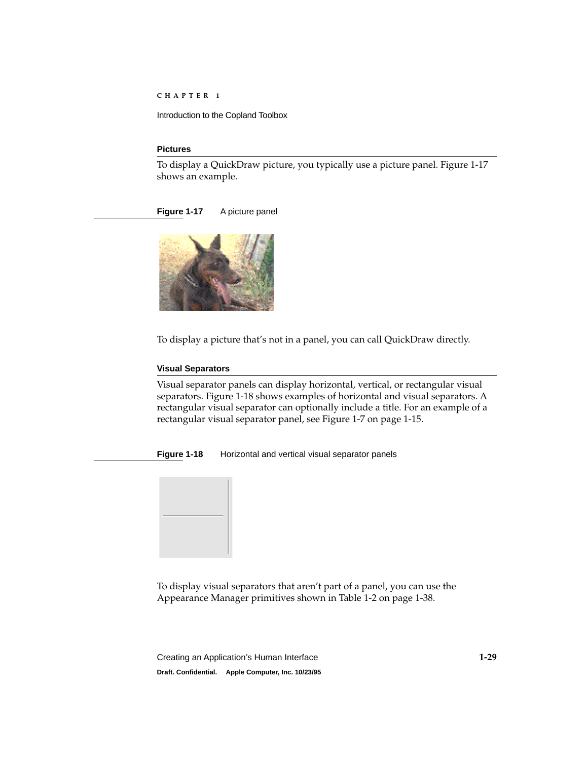# **Pictures 1**

To display a QuickDraw picture, you typically use a picture panel. Figure 1-17 shows an example.

**Figure 1-17** A picture panel



To display a picture that's not in a panel, you can call QuickDraw directly.

# **Visual Separators 1**

Visual separator panels can display horizontal, vertical, or rectangular visual separators. Figure 1-18 shows examples of horizontal and visual separators. A rectangular visual separator can optionally include a title. For an example of a rectangular visual separator panel, see Figure 1-7 on page 1-15.

**Figure 1-18** Horizontal and vertical visual separator panels



To display visual separators that aren't part of a panel, you can use the Appearance Manager primitives shown in Table 1-2 on page 1-38.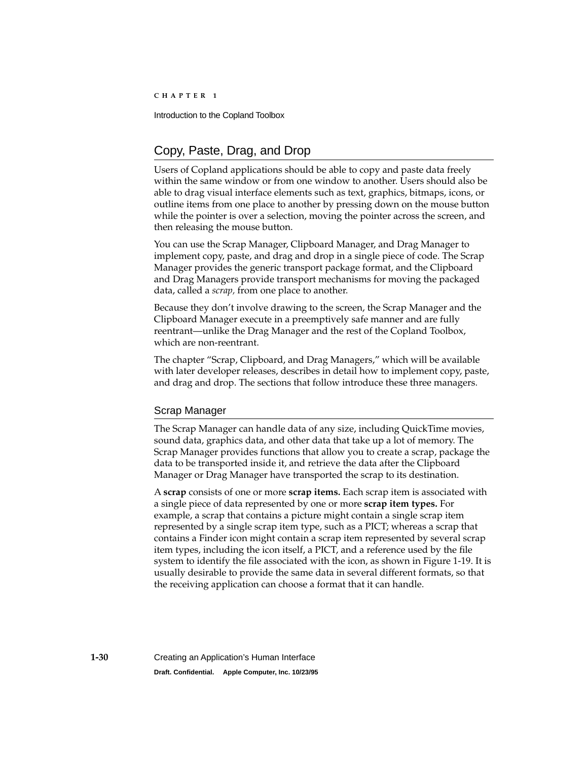# Copy, Paste, Drag, and Drop 1

Users of Copland applications should be able to copy and paste data freely within the same window or from one window to another. Users should also be able to drag visual interface elements such as text, graphics, bitmaps, icons, or outline items from one place to another by pressing down on the mouse button while the pointer is over a selection, moving the pointer across the screen, and then releasing the mouse button.

You can use the Scrap Manager, Clipboard Manager, and Drag Manager to implement copy, paste, and drag and drop in a single piece of code. The Scrap Manager provides the generic transport package format, and the Clipboard and Drag Managers provide transport mechanisms for moving the packaged data, called a *scrap,* from one place to another.

Because they don't involve drawing to the screen, the Scrap Manager and the Clipboard Manager execute in a preemptively safe manner and are fully reentrant—unlike the Drag Manager and the rest of the Copland Toolbox, which are non-reentrant.

The chapter "Scrap, Clipboard, and Drag Managers," which will be available with later developer releases, describes in detail how to implement copy, paste, and drag and drop. The sections that follow introduce these three managers.

# Scrap Manager 1

The Scrap Manager can handle data of any size, including QuickTime movies, sound data, graphics data, and other data that take up a lot of memory. The Scrap Manager provides functions that allow you to create a scrap, package the data to be transported inside it, and retrieve the data after the Clipboard Manager or Drag Manager have transported the scrap to its destination.

A **scrap** consists of one or more **scrap items.** Each scrap item is associated with a single piece of data represented by one or more **scrap item types.** For example, a scrap that contains a picture might contain a single scrap item represented by a single scrap item type, such as a PICT; whereas a scrap that contains a Finder icon might contain a scrap item represented by several scrap item types, including the icon itself, a PICT, and a reference used by the file system to identify the file associated with the icon, as shown in Figure 1-19. It is usually desirable to provide the same data in several different formats, so that the receiving application can choose a format that it can handle.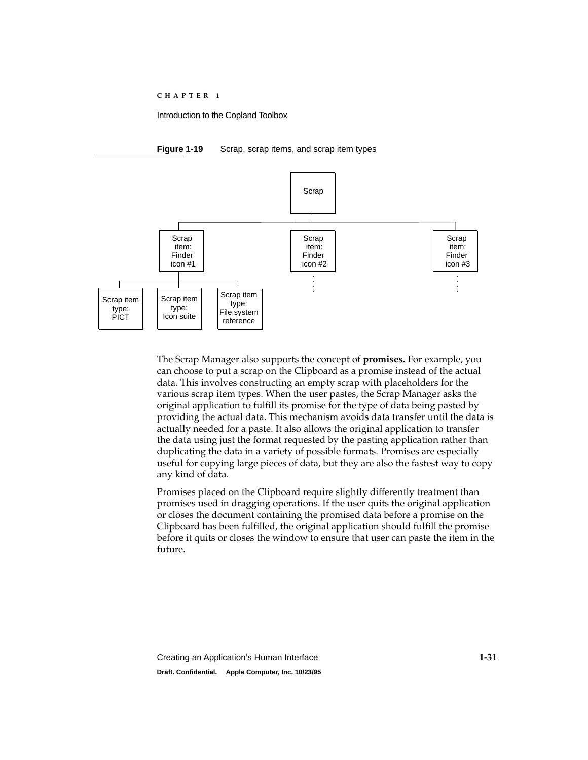





The Scrap Manager also supports the concept of **promises.** For example, you can choose to put a scrap on the Clipboard as a promise instead of the actual data. This involves constructing an empty scrap with placeholders for the various scrap item types. When the user pastes, the Scrap Manager asks the original application to fulfill its promise for the type of data being pasted by providing the actual data. This mechanism avoids data transfer until the data is actually needed for a paste. It also allows the original application to transfer the data using just the format requested by the pasting application rather than duplicating the data in a variety of possible formats. Promises are especially useful for copying large pieces of data, but they are also the fastest way to copy any kind of data.

Promises placed on the Clipboard require slightly differently treatment than promises used in dragging operations. If the user quits the original application or closes the document containing the promised data before a promise on the Clipboard has been fulfilled, the original application should fulfill the promise before it quits or closes the window to ensure that user can paste the item in the future.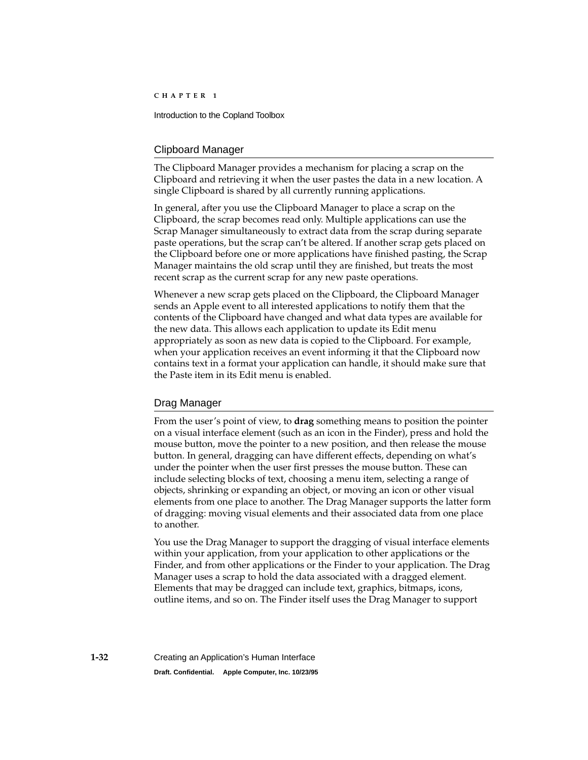Introduction to the Copland Toolbox

# Clipboard Manager 1

The Clipboard Manager provides a mechanism for placing a scrap on the Clipboard and retrieving it when the user pastes the data in a new location. A single Clipboard is shared by all currently running applications.

In general, after you use the Clipboard Manager to place a scrap on the Clipboard, the scrap becomes read only. Multiple applications can use the Scrap Manager simultaneously to extract data from the scrap during separate paste operations, but the scrap can't be altered. If another scrap gets placed on the Clipboard before one or more applications have finished pasting, the Scrap Manager maintains the old scrap until they are finished, but treats the most recent scrap as the current scrap for any new paste operations.

Whenever a new scrap gets placed on the Clipboard, the Clipboard Manager sends an Apple event to all interested applications to notify them that the contents of the Clipboard have changed and what data types are available for the new data. This allows each application to update its Edit menu appropriately as soon as new data is copied to the Clipboard. For example, when your application receives an event informing it that the Clipboard now contains text in a format your application can handle, it should make sure that the Paste item in its Edit menu is enabled.

# Drag Manager 1

From the user's point of view, to **drag** something means to position the pointer on a visual interface element (such as an icon in the Finder), press and hold the mouse button, move the pointer to a new position, and then release the mouse button. In general, dragging can have different effects, depending on what's under the pointer when the user first presses the mouse button. These can include selecting blocks of text, choosing a menu item, selecting a range of objects, shrinking or expanding an object, or moving an icon or other visual elements from one place to another. The Drag Manager supports the latter form of dragging: moving visual elements and their associated data from one place to another.

You use the Drag Manager to support the dragging of visual interface elements within your application, from your application to other applications or the Finder, and from other applications or the Finder to your application. The Drag Manager uses a scrap to hold the data associated with a dragged element. Elements that may be dragged can include text, graphics, bitmaps, icons, outline items, and so on. The Finder itself uses the Drag Manager to support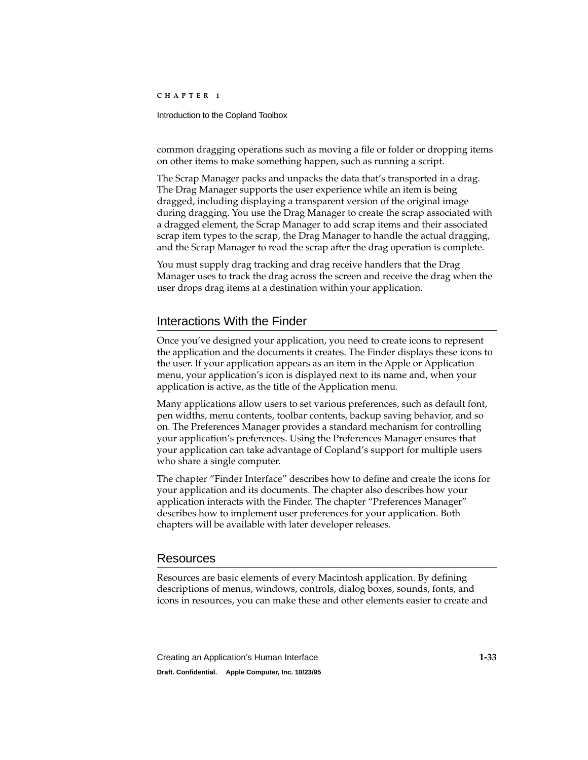# Introduction to the Copland Toolbox

common dragging operations such as moving a file or folder or dropping items on other items to make something happen, such as running a script.

The Scrap Manager packs and unpacks the data that's transported in a drag. The Drag Manager supports the user experience while an item is being dragged, including displaying a transparent version of the original image during dragging. You use the Drag Manager to create the scrap associated with a dragged element, the Scrap Manager to add scrap items and their associated scrap item types to the scrap, the Drag Manager to handle the actual dragging, and the Scrap Manager to read the scrap after the drag operation is complete.

You must supply drag tracking and drag receive handlers that the Drag Manager uses to track the drag across the screen and receive the drag when the user drops drag items at a destination within your application.

# Interactions With the Finder

Once you've designed your application, you need to create icons to represent the application and the documents it creates. The Finder displays these icons to the user. If your application appears as an item in the Apple or Application menu, your application's icon is displayed next to its name and, when your application is active, as the title of the Application menu.

Many applications allow users to set various preferences, such as default font, pen widths, menu contents, toolbar contents, backup saving behavior, and so on. The Preferences Manager provides a standard mechanism for controlling your application's preferences. Using the Preferences Manager ensures that your application can take advantage of Copland's support for multiple users who share a single computer.

The chapter "Finder Interface" describes how to define and create the icons for your application and its documents. The chapter also describes how your application interacts with the Finder. The chapter "Preferences Manager" describes how to implement user preferences for your application. Both chapters will be available with later developer releases.

# **Resources**

Resources are basic elements of every Macintosh application. By defining descriptions of menus, windows, controls, dialog boxes, sounds, fonts, and icons in resources, you can make these and other elements easier to create and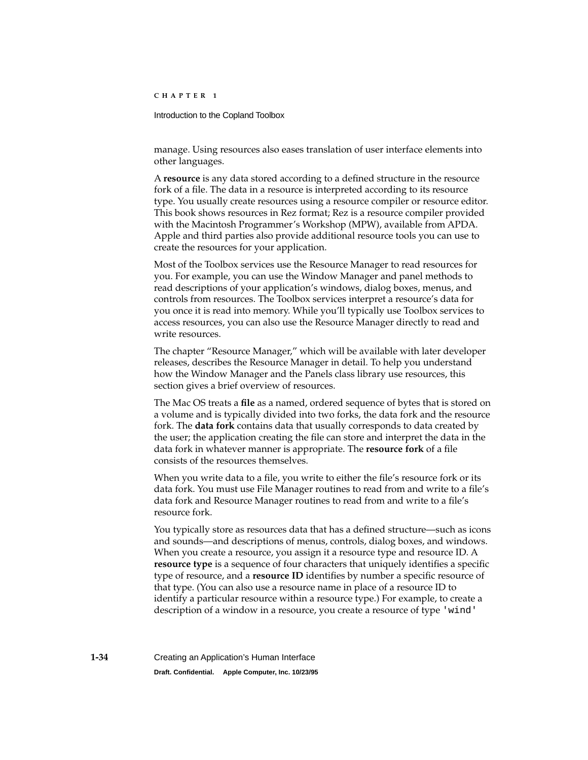Introduction to the Copland Toolbox

manage. Using resources also eases translation of user interface elements into other languages.

A **resource** is any data stored according to a defined structure in the resource fork of a file. The data in a resource is interpreted according to its resource type. You usually create resources using a resource compiler or resource editor. This book shows resources in Rez format; Rez is a resource compiler provided with the Macintosh Programmer's Workshop (MPW), available from APDA. Apple and third parties also provide additional resource tools you can use to create the resources for your application.

Most of the Toolbox services use the Resource Manager to read resources for you. For example, you can use the Window Manager and panel methods to read descriptions of your application's windows, dialog boxes, menus, and controls from resources. The Toolbox services interpret a resource's data for you once it is read into memory. While you'll typically use Toolbox services to access resources, you can also use the Resource Manager directly to read and write resources.

The chapter "Resource Manager," which will be available with later developer releases, describes the Resource Manager in detail. To help you understand how the Window Manager and the Panels class library use resources, this section gives a brief overview of resources.

The Mac OS treats a **file** as a named, ordered sequence of bytes that is stored on a volume and is typically divided into two forks, the data fork and the resource fork. The **data fork** contains data that usually corresponds to data created by the user; the application creating the file can store and interpret the data in the data fork in whatever manner is appropriate. The **resource fork** of a file consists of the resources themselves.

When you write data to a file, you write to either the file's resource fork or its data fork. You must use File Manager routines to read from and write to a file's data fork and Resource Manager routines to read from and write to a file's resource fork.

You typically store as resources data that has a defined structure—such as icons and sounds—and descriptions of menus, controls, dialog boxes, and windows. When you create a resource, you assign it a resource type and resource ID. A **resource type** is a sequence of four characters that uniquely identifies a specific type of resource, and a **resource ID** identifies by number a specific resource of that type. (You can also use a resource name in place of a resource ID to identify a particular resource within a resource type.) For example, to create a description of a window in a resource, you create a resource of type 'wind'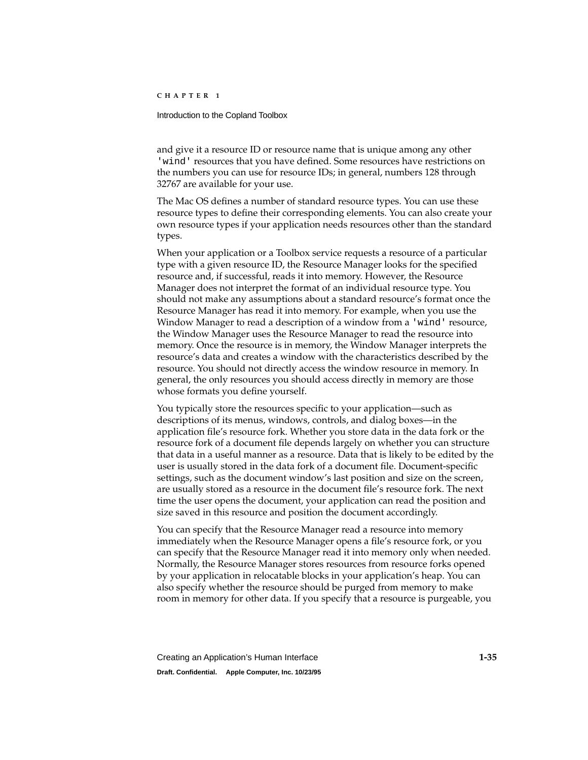#### Introduction to the Copland Toolbox

and give it a resource ID or resource name that is unique among any other 'wind' resources that you have defined. Some resources have restrictions on the numbers you can use for resource IDs; in general, numbers 128 through 32767 are available for your use.

The Mac OS defines a number of standard resource types. You can use these resource types to define their corresponding elements. You can also create your own resource types if your application needs resources other than the standard types.

When your application or a Toolbox service requests a resource of a particular type with a given resource ID, the Resource Manager looks for the specified resource and, if successful, reads it into memory. However, the Resource Manager does not interpret the format of an individual resource type. You should not make any assumptions about a standard resource's format once the Resource Manager has read it into memory. For example, when you use the Window Manager to read a description of a window from a 'wind' resource, the Window Manager uses the Resource Manager to read the resource into memory. Once the resource is in memory, the Window Manager interprets the resource's data and creates a window with the characteristics described by the resource. You should not directly access the window resource in memory. In general, the only resources you should access directly in memory are those whose formats you define yourself.

You typically store the resources specific to your application—such as descriptions of its menus, windows, controls, and dialog boxes—in the application file's resource fork. Whether you store data in the data fork or the resource fork of a document file depends largely on whether you can structure that data in a useful manner as a resource. Data that is likely to be edited by the user is usually stored in the data fork of a document file. Document-specific settings, such as the document window's last position and size on the screen, are usually stored as a resource in the document file's resource fork. The next time the user opens the document, your application can read the position and size saved in this resource and position the document accordingly.

You can specify that the Resource Manager read a resource into memory immediately when the Resource Manager opens a file's resource fork, or you can specify that the Resource Manager read it into memory only when needed. Normally, the Resource Manager stores resources from resource forks opened by your application in relocatable blocks in your application's heap. You can also specify whether the resource should be purged from memory to make room in memory for other data. If you specify that a resource is purgeable, you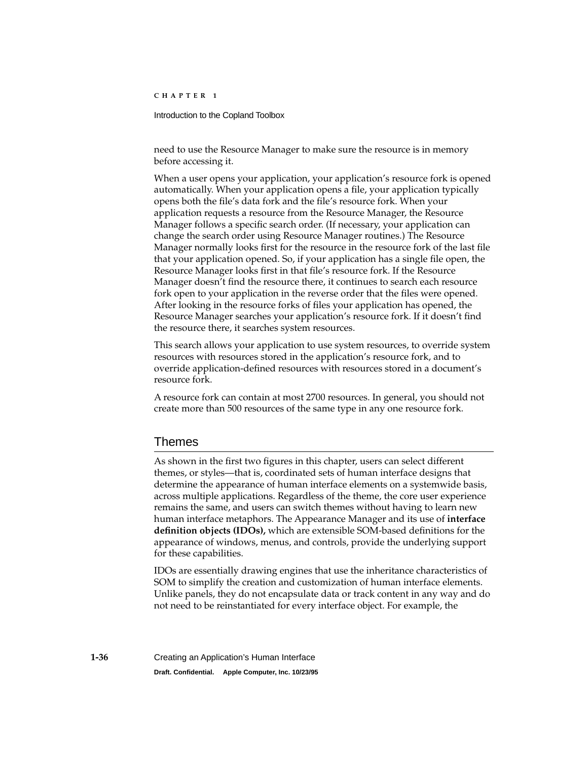Introduction to the Copland Toolbox

need to use the Resource Manager to make sure the resource is in memory before accessing it.

When a user opens your application, your application's resource fork is opened automatically. When your application opens a file, your application typically opens both the file's data fork and the file's resource fork. When your application requests a resource from the Resource Manager, the Resource Manager follows a specific search order. (If necessary, your application can change the search order using Resource Manager routines.) The Resource Manager normally looks first for the resource in the resource fork of the last file that your application opened. So, if your application has a single file open, the Resource Manager looks first in that file's resource fork. If the Resource Manager doesn't find the resource there, it continues to search each resource fork open to your application in the reverse order that the files were opened. After looking in the resource forks of files your application has opened, the Resource Manager searches your application's resource fork. If it doesn't find the resource there, it searches system resources.

This search allows your application to use system resources, to override system resources with resources stored in the application's resource fork, and to override application-defined resources with resources stored in a document's resource fork.

A resource fork can contain at most 2700 resources. In general, you should not create more than 500 resources of the same type in any one resource fork.

## Themes **1999 Themes** 1999 *Themes*

As shown in the first two figures in this chapter, users can select different themes, or styles—that is, coordinated sets of human interface designs that determine the appearance of human interface elements on a systemwide basis, across multiple applications. Regardless of the theme, the core user experience remains the same, and users can switch themes without having to learn new human interface metaphors. The Appearance Manager and its use of **interface definition objects (IDOs),** which are extensible SOM-based definitions for the appearance of windows, menus, and controls, provide the underlying support for these capabilities.

IDOs are essentially drawing engines that use the inheritance characteristics of SOM to simplify the creation and customization of human interface elements. Unlike panels, they do not encapsulate data or track content in any way and do not need to be reinstantiated for every interface object. For example, the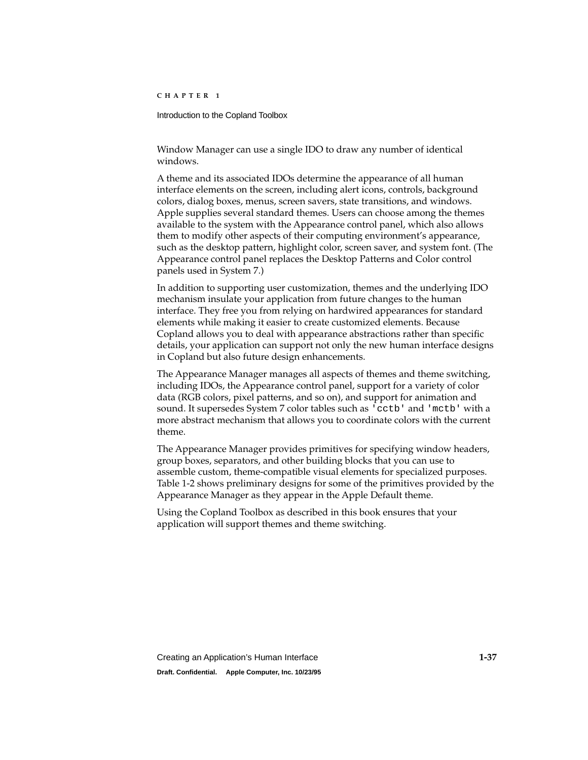Introduction to the Copland Toolbox

Window Manager can use a single IDO to draw any number of identical windows.

A theme and its associated IDOs determine the appearance of all human interface elements on the screen, including alert icons, controls, background colors, dialog boxes, menus, screen savers, state transitions, and windows. Apple supplies several standard themes. Users can choose among the themes available to the system with the Appearance control panel, which also allows them to modify other aspects of their computing environment's appearance, such as the desktop pattern, highlight color, screen saver, and system font. (The Appearance control panel replaces the Desktop Patterns and Color control panels used in System 7.)

In addition to supporting user customization, themes and the underlying IDO mechanism insulate your application from future changes to the human interface. They free you from relying on hardwired appearances for standard elements while making it easier to create customized elements. Because Copland allows you to deal with appearance abstractions rather than specific details, your application can support not only the new human interface designs in Copland but also future design enhancements.

The Appearance Manager manages all aspects of themes and theme switching, including IDOs, the Appearance control panel, support for a variety of color data (RGB colors, pixel patterns, and so on), and support for animation and sound. It supersedes System 7 color tables such as 'cctb' and 'mctb' with a more abstract mechanism that allows you to coordinate colors with the current theme.

The Appearance Manager provides primitives for specifying window headers, group boxes, separators, and other building blocks that you can use to assemble custom, theme-compatible visual elements for specialized purposes. Table 1-2 shows preliminary designs for some of the primitives provided by the Appearance Manager as they appear in the Apple Default theme.

Using the Copland Toolbox as described in this book ensures that your application will support themes and theme switching.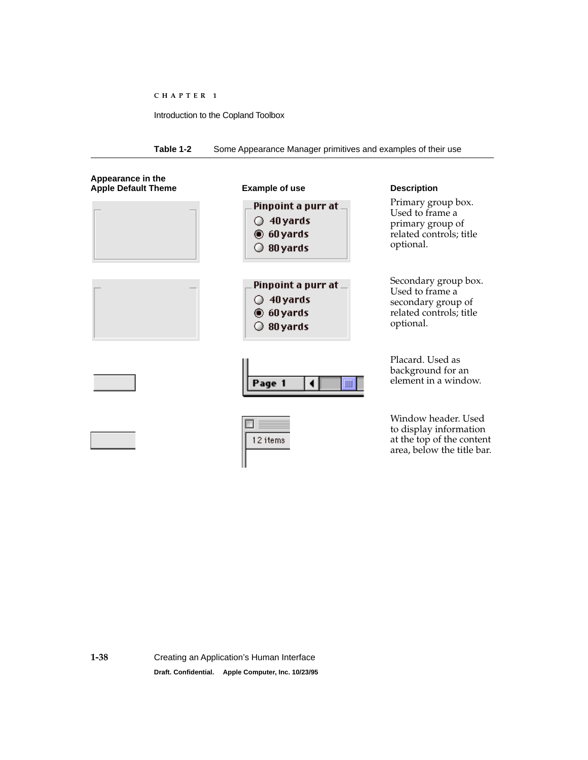

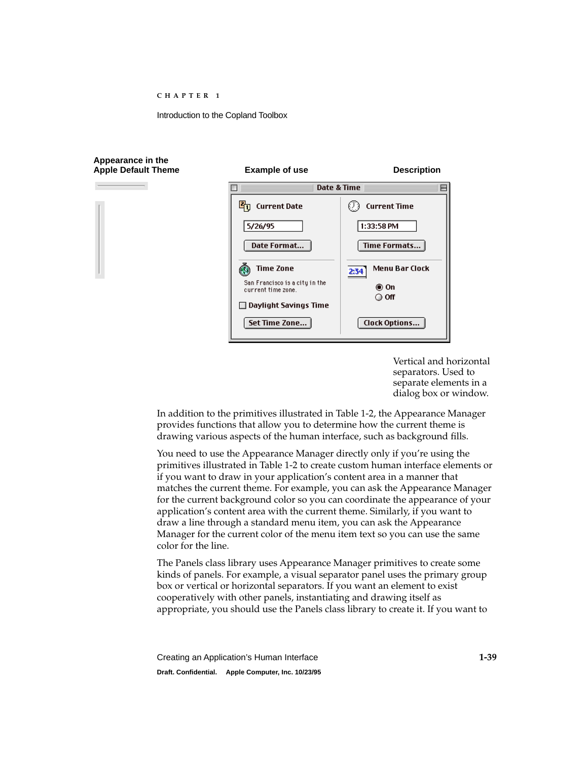

#### Vertical and horizontal separators. Used to separate elements in a dialog box or window.

In addition to the primitives illustrated in Table 1-2, the Appearance Manager provides functions that allow you to determine how the current theme is drawing various aspects of the human interface, such as background fills.

You need to use the Appearance Manager directly only if you're using the primitives illustrated in Table 1-2 to create custom human interface elements or if you want to draw in your application's content area in a manner that matches the current theme. For example, you can ask the Appearance Manager for the current background color so you can coordinate the appearance of your application's content area with the current theme. Similarly, if you want to draw a line through a standard menu item, you can ask the Appearance Manager for the current color of the menu item text so you can use the same color for the line.

The Panels class library uses Appearance Manager primitives to create some kinds of panels. For example, a visual separator panel uses the primary group box or vertical or horizontal separators. If you want an element to exist cooperatively with other panels, instantiating and drawing itself as appropriate, you should use the Panels class library to create it. If you want to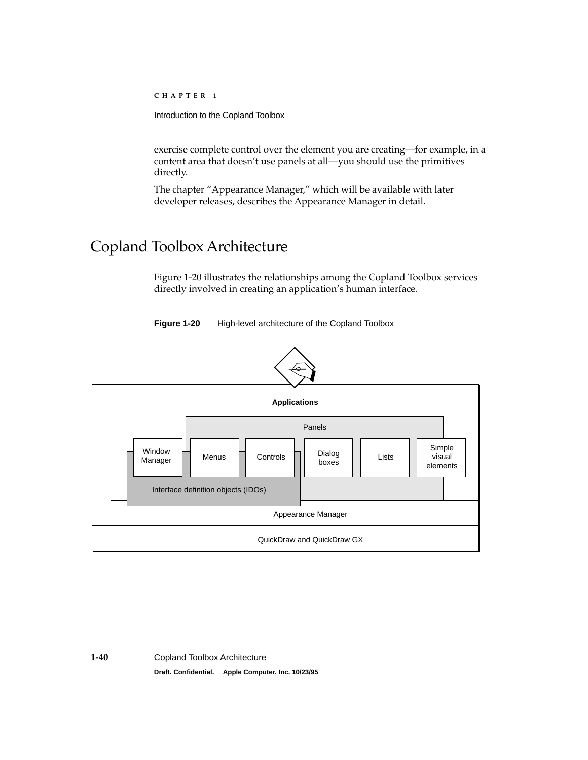Introduction to the Copland Toolbox

exercise complete control over the element you are creating—for example, in a content area that doesn't use panels at all—you should use the primitives directly.

The chapter "Appearance Manager," which will be available with later developer releases, describes the Appearance Manager in detail.

## Copland Toolbox Architecture

Figure 1-20 illustrates the relationships among the Copland Toolbox services directly involved in creating an application's human interface.

**Figure 1-20** High-level architecture of the Copland Toolbox



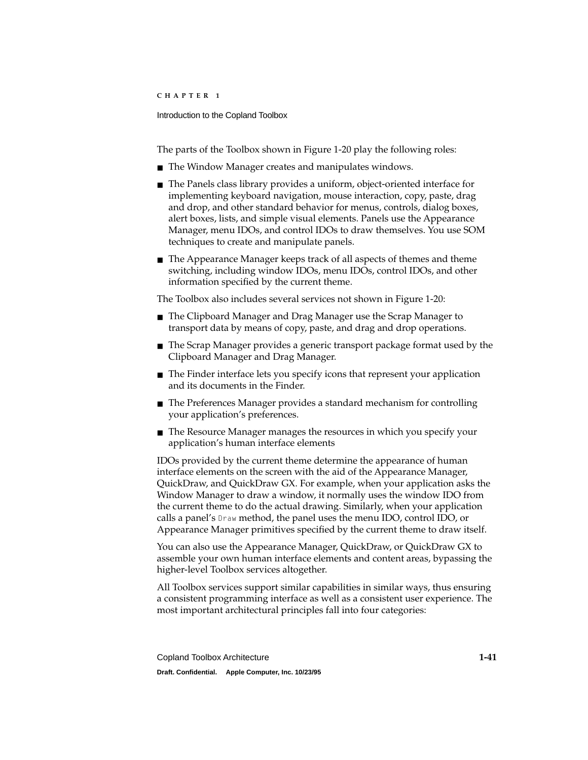Introduction to the Copland Toolbox

The parts of the Toolbox shown in Figure 1-20 play the following roles:

- The Window Manager creates and manipulates windows.
- The Panels class library provides a uniform, object-oriented interface for implementing keyboard navigation, mouse interaction, copy, paste, drag and drop, and other standard behavior for menus, controls, dialog boxes, alert boxes, lists, and simple visual elements. Panels use the Appearance Manager, menu IDOs, and control IDOs to draw themselves. You use SOM techniques to create and manipulate panels.
- The Appearance Manager keeps track of all aspects of themes and theme switching, including window IDOs, menu IDOs, control IDOs, and other information specified by the current theme.

The Toolbox also includes several services not shown in Figure 1-20:

- The Clipboard Manager and Drag Manager use the Scrap Manager to transport data by means of copy, paste, and drag and drop operations.
- The Scrap Manager provides a generic transport package format used by the Clipboard Manager and Drag Manager.
- The Finder interface lets you specify icons that represent your application and its documents in the Finder.
- The Preferences Manager provides a standard mechanism for controlling your application's preferences.
- The Resource Manager manages the resources in which you specify your application's human interface elements

IDOs provided by the current theme determine the appearance of human interface elements on the screen with the aid of the Appearance Manager, QuickDraw, and QuickDraw GX. For example, when your application asks the Window Manager to draw a window, it normally uses the window IDO from the current theme to do the actual drawing. Similarly, when your application calls a panel's Draw method, the panel uses the menu IDO, control IDO, or Appearance Manager primitives specified by the current theme to draw itself.

You can also use the Appearance Manager, QuickDraw, or QuickDraw GX to assemble your own human interface elements and content areas, bypassing the higher-level Toolbox services altogether.

All Toolbox services support similar capabilities in similar ways, thus ensuring a consistent programming interface as well as a consistent user experience. The most important architectural principles fall into four categories: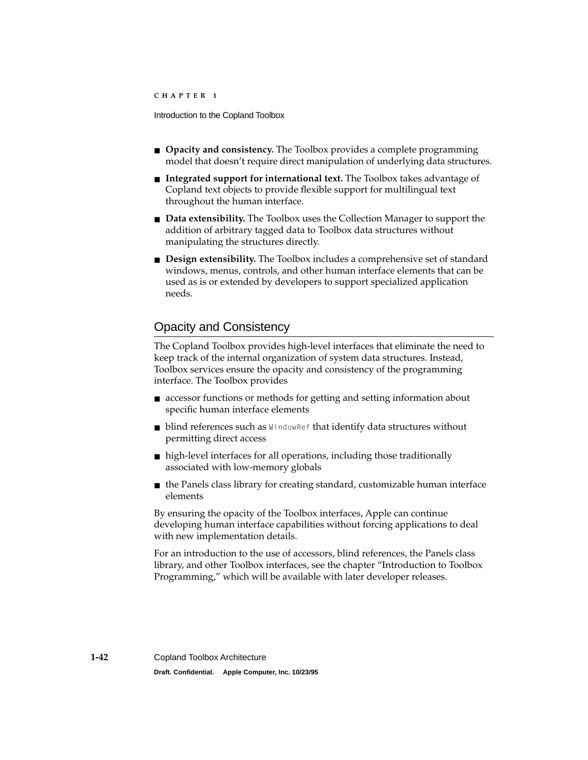- **Opacity and consistency.** The Toolbox provides a complete programming model that doesn't require direct manipulation of underlying data structures.
- **Integrated support for international text.** The Toolbox takes advantage of Copland text objects to provide flexible support for multilingual text throughout the human interface.
- **Data extensibility.** The Toolbox uses the Collection Manager to support the addition of arbitrary tagged data to Toolbox data structures without manipulating the structures directly.
- **Design extensibility.** The Toolbox includes a comprehensive set of standard windows, menus, controls, and other human interface elements that can be used as is or extended by developers to support specialized application needs.

## Opacity and Consistency 1

The Copland Toolbox provides high-level interfaces that eliminate the need to keep track of the internal organization of system data structures. Instead, Toolbox services ensure the opacity and consistency of the programming interface. The Toolbox provides

- accessor functions or methods for getting and setting information about specific human interface elements
- blind references such as WindowRef that identify data structures without permitting direct access
- high-level interfaces for all operations, including those traditionally associated with low-memory globals
- the Panels class library for creating standard, customizable human interface elements

By ensuring the opacity of the Toolbox interfaces, Apple can continue developing human interface capabilities without forcing applications to deal with new implementation details.

For an introduction to the use of accessors, blind references, the Panels class library, and other Toolbox interfaces, see the chapter "Introduction to Toolbox Programming," which will be available with later developer releases.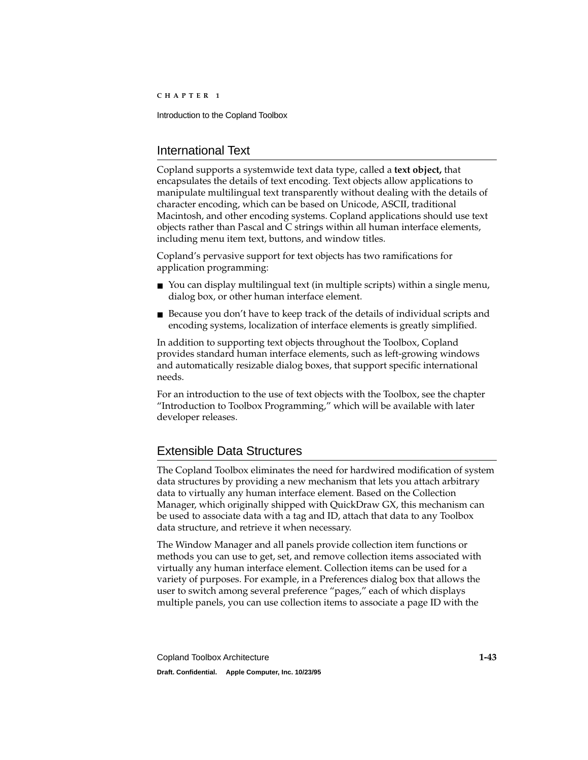## International Text 1

Copland supports a systemwide text data type, called a **text object,** that encapsulates the details of text encoding. Text objects allow applications to manipulate multilingual text transparently without dealing with the details of character encoding, which can be based on Unicode, ASCII, traditional Macintosh, and other encoding systems. Copland applications should use text objects rather than Pascal and C strings within all human interface elements, including menu item text, buttons, and window titles.

Copland's pervasive support for text objects has two ramifications for application programming:

- You can display multilingual text (in multiple scripts) within a single menu, dialog box, or other human interface element.
- Because you don't have to keep track of the details of individual scripts and encoding systems, localization of interface elements is greatly simplified.

In addition to supporting text objects throughout the Toolbox, Copland provides standard human interface elements, such as left-growing windows and automatically resizable dialog boxes, that support specific international needs.

For an introduction to the use of text objects with the Toolbox, see the chapter "Introduction to Toolbox Programming," which will be available with later developer releases.

## Extensible Data Structures 1

The Copland Toolbox eliminates the need for hardwired modification of system data structures by providing a new mechanism that lets you attach arbitrary data to virtually any human interface element. Based on the Collection Manager, which originally shipped with QuickDraw GX, this mechanism can be used to associate data with a tag and ID, attach that data to any Toolbox data structure, and retrieve it when necessary.

The Window Manager and all panels provide collection item functions or methods you can use to get, set, and remove collection items associated with virtually any human interface element. Collection items can be used for a variety of purposes. For example, in a Preferences dialog box that allows the user to switch among several preference "pages," each of which displays multiple panels, you can use collection items to associate a page ID with the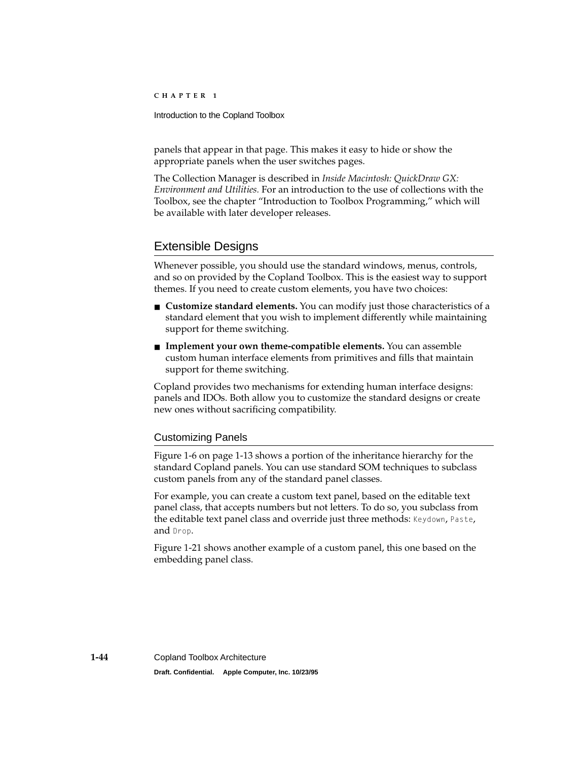panels that appear in that page. This makes it easy to hide or show the appropriate panels when the user switches pages.

The Collection Manager is described in *Inside Macintosh: QuickDraw GX: Environment and Utilities.* For an introduction to the use of collections with the Toolbox, see the chapter "Introduction to Toolbox Programming," which will be available with later developer releases.

## Extensible Designs 1

Whenever possible, you should use the standard windows, menus, controls, and so on provided by the Copland Toolbox. This is the easiest way to support themes. If you need to create custom elements, you have two choices:

- **Customize standard elements.** You can modify just those characteristics of a standard element that you wish to implement differently while maintaining support for theme switching.
- **Implement your own theme-compatible elements.** You can assemble custom human interface elements from primitives and fills that maintain support for theme switching.

Copland provides two mechanisms for extending human interface designs: panels and IDOs. Both allow you to customize the standard designs or create new ones without sacrificing compatibility.

#### Customizing Panels 1

Figure 1-6 on page 1-13 shows a portion of the inheritance hierarchy for the standard Copland panels. You can use standard SOM techniques to subclass custom panels from any of the standard panel classes.

For example, you can create a custom text panel, based on the editable text panel class, that accepts numbers but not letters. To do so, you subclass from the editable text panel class and override just three methods: Keydown, Paste, and Drop.

Figure 1-21 shows another example of a custom panel, this one based on the embedding panel class.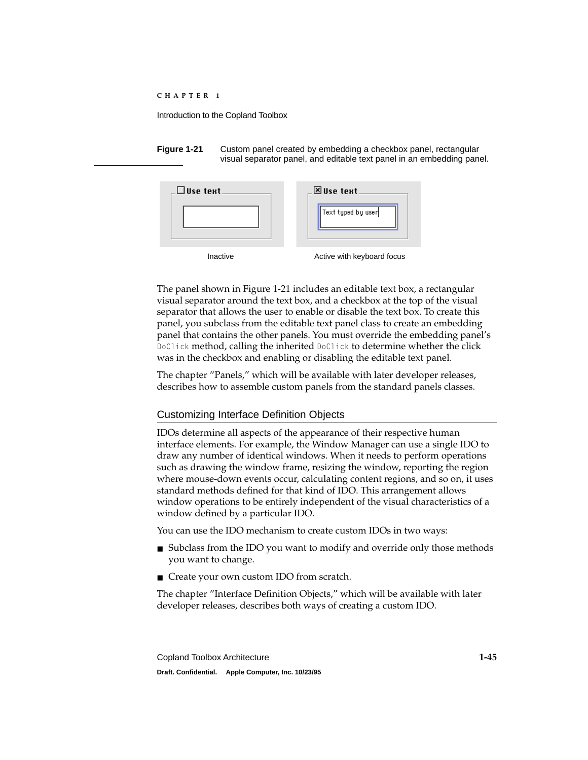**Figure 1-21** Custom panel created by embedding a checkbox panel, rectangular visual separator panel, and editable text panel in an embedding panel.

| $\Box$ Use text. | <b>N</b> Use text          |
|------------------|----------------------------|
|                  | Text typed by user         |
| Inactive         | Active with keyboard focus |

The panel shown in Figure 1-21 includes an editable text box, a rectangular visual separator around the text box, and a checkbox at the top of the visual separator that allows the user to enable or disable the text box. To create this panel, you subclass from the editable text panel class to create an embedding panel that contains the other panels. You must override the embedding panel's DoClick method, calling the inherited DoClick to determine whether the click was in the checkbox and enabling or disabling the editable text panel.

The chapter "Panels," which will be available with later developer releases, describes how to assemble custom panels from the standard panels classes.

### Customizing Interface Definition Objects 1

IDOs determine all aspects of the appearance of their respective human interface elements. For example, the Window Manager can use a single IDO to draw any number of identical windows. When it needs to perform operations such as drawing the window frame, resizing the window, reporting the region where mouse-down events occur, calculating content regions, and so on, it uses standard methods defined for that kind of IDO. This arrangement allows window operations to be entirely independent of the visual characteristics of a window defined by a particular IDO.

You can use the IDO mechanism to create custom IDOs in two ways:

- Subclass from the IDO you want to modify and override only those methods you want to change.
- Create your own custom IDO from scratch.

The chapter "Interface Definition Objects," which will be available with later developer releases, describes both ways of creating a custom IDO.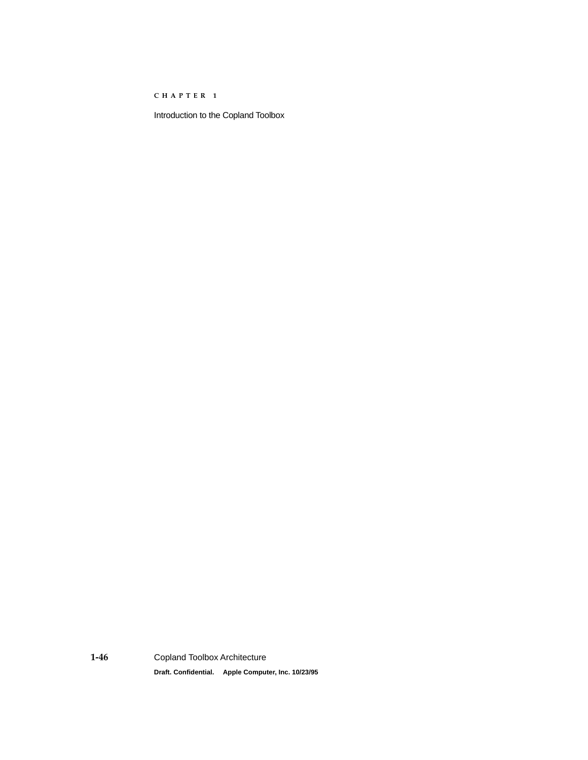Introduction to the Copland Toolbox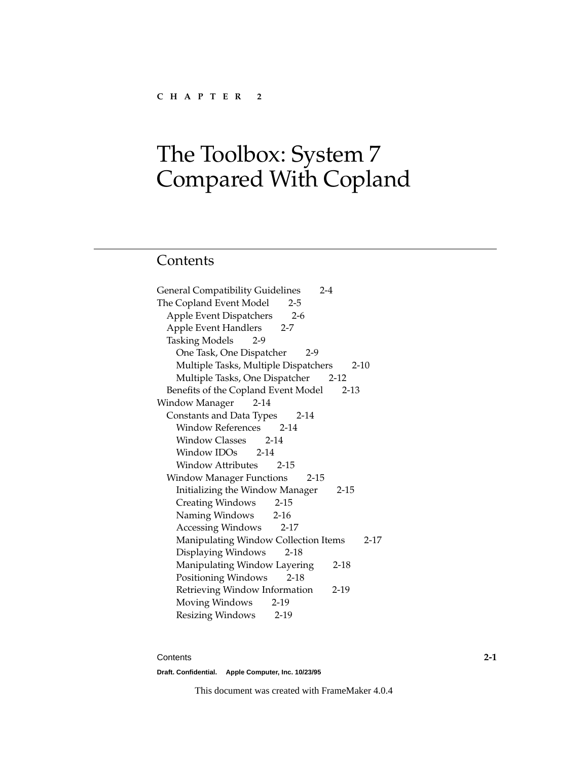## Contents

General Compatibility Guidelines 2-4 The Copland Event Model 2-5 Apple Event Dispatchers 2-6 Apple Event Handlers 2-7 Tasking Models 2-9 One Task, One Dispatcher 2-9 Multiple Tasks, Multiple Dispatchers 2-10 Multiple Tasks, One Dispatcher 2-12 Benefits of the Copland Event Model 2-13 Window Manager 2-14 Constants and Data Types 2-14 Window References 2-14 Window Classes 2-14 Window IDOs 2-14 Window Attributes 2-15 Window Manager Functions 2-15 Initializing the Window Manager 2-15 Creating Windows 2-15 Naming Windows 2-16 Accessing Windows 2-17 Manipulating Window Collection Items 2-17 Displaying Windows 2-18 Manipulating Window Layering 2-18 Positioning Windows 2-18 Retrieving Window Information 2-19 Moving Windows 2-19 Resizing Windows 2-19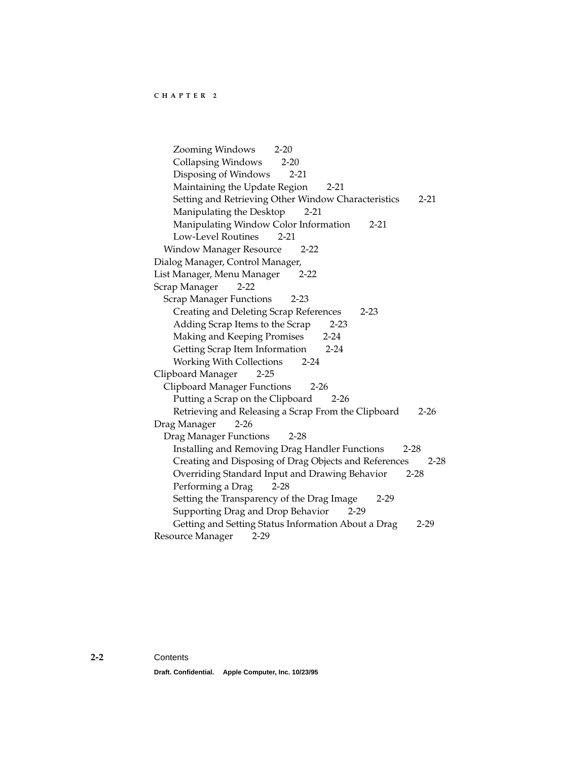Zooming Windows 2-20 Collapsing Windows 2-20 Disposing of Windows 2-21 Maintaining the Update Region 2-21 Setting and Retrieving Other Window Characteristics 2-21 Manipulating the Desktop 2-21 Manipulating Window Color Information 2-21 Low-Level Routines 2-21 Window Manager Resource 2-22 Dialog Manager, Control Manager, List Manager, Menu Manager 2-22 Scrap Manager 2-22 Scrap Manager Functions 2-23 Creating and Deleting Scrap References 2-23 Adding Scrap Items to the Scrap 2-23 Making and Keeping Promises 2-24 Getting Scrap Item Information 2-24 Working With Collections 2-24 Clipboard Manager 2-25 Clipboard Manager Functions 2-26 Putting a Scrap on the Clipboard 2-26 Retrieving and Releasing a Scrap From the Clipboard 2-26 Drag Manager 2-26 Drag Manager Functions 2-28 Installing and Removing Drag Handler Functions 2-28 Creating and Disposing of Drag Objects and References 2-28 Overriding Standard Input and Drawing Behavior 2-28 Performing a Drag 2-28 Setting the Transparency of the Drag Image 2-29 Supporting Drag and Drop Behavior 2-29 Getting and Setting Status Information About a Drag 2-29 Resource Manager 2-29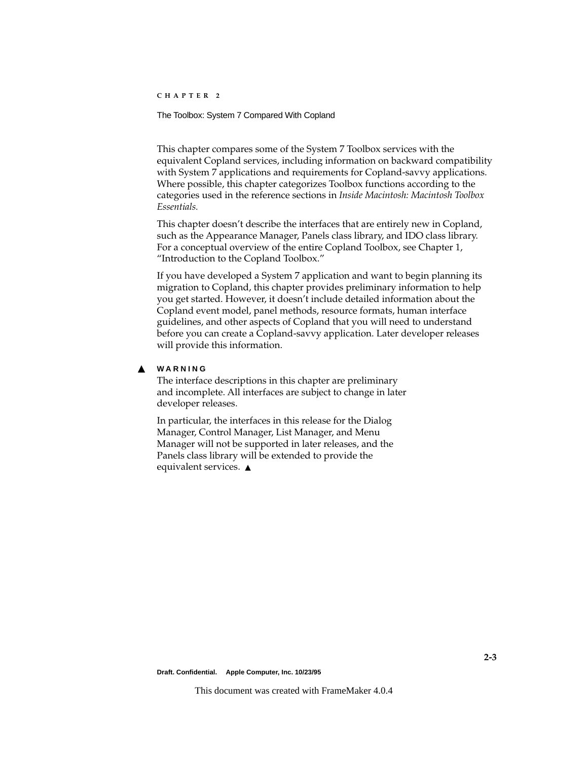This chapter compares some of the System 7 Toolbox services with the equivalent Copland services, including information on backward compatibility with System 7 applications and requirements for Copland-savvy applications. Where possible, this chapter categorizes Toolbox functions according to the categories used in the reference sections in *Inside Macintosh: Macintosh Toolbox Essentials.*

This chapter doesn't describe the interfaces that are entirely new in Copland, such as the Appearance Manager, Panels class library, and IDO class library. For a conceptual overview of the entire Copland Toolbox, see Chapter 1, "Introduction to the Copland Toolbox."

If you have developed a System 7 application and want to begin planning its migration to Copland, this chapter provides preliminary information to help you get started. However, it doesn't include detailed information about the Copland event model, panel methods, resource formats, human interface guidelines, and other aspects of Copland that you will need to understand before you can create a Copland-savvy application. Later developer releases will provide this information.

#### **WARNING**

The interface descriptions in this chapter are preliminary and incomplete. All interfaces are subject to change in later developer releases.

In particular, the interfaces in this release for the Dialog Manager, Control Manager, List Manager, and Menu Manager will not be supported in later releases, and the Panels class library will be extended to provide the equivalent services. **▲**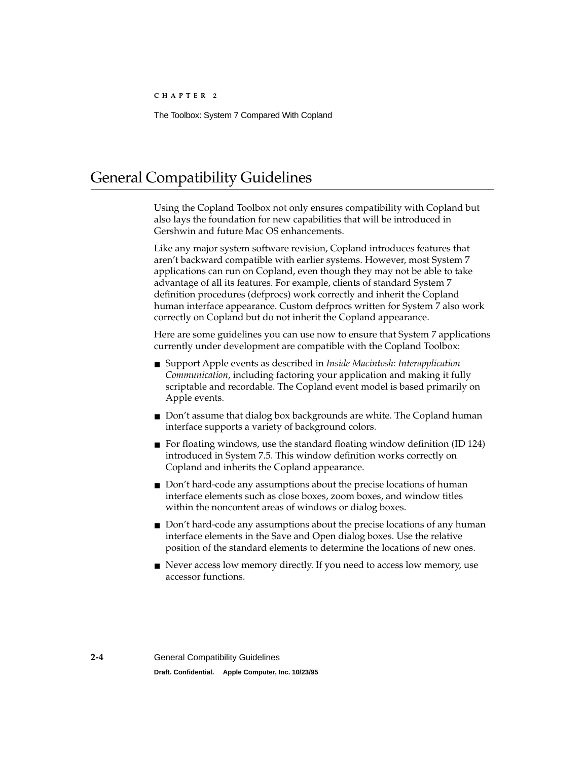## General Compatibility Guidelines 2

Using the Copland Toolbox not only ensures compatibility with Copland but also lays the foundation for new capabilities that will be introduced in Gershwin and future Mac OS enhancements.

Like any major system software revision, Copland introduces features that aren't backward compatible with earlier systems. However, most System 7 applications can run on Copland, even though they may not be able to take advantage of all its features. For example, clients of standard System 7 definition procedures (defprocs) work correctly and inherit the Copland human interface appearance. Custom defprocs written for System 7 also work correctly on Copland but do not inherit the Copland appearance.

Here are some guidelines you can use now to ensure that System 7 applications currently under development are compatible with the Copland Toolbox:

- Support Apple events as described in *Inside Macintosh: Interapplication Communication*, including factoring your application and making it fully scriptable and recordable. The Copland event model is based primarily on Apple events.
- Don't assume that dialog box backgrounds are white. The Copland human interface supports a variety of background colors.
- For floating windows, use the standard floating window definition (ID 124) introduced in System 7.5. This window definition works correctly on Copland and inherits the Copland appearance.
- Don't hard-code any assumptions about the precise locations of human interface elements such as close boxes, zoom boxes, and window titles within the noncontent areas of windows or dialog boxes.
- Don't hard-code any assumptions about the precise locations of any human interface elements in the Save and Open dialog boxes. Use the relative position of the standard elements to determine the locations of new ones.
- Never access low memory directly. If you need to access low memory, use accessor functions.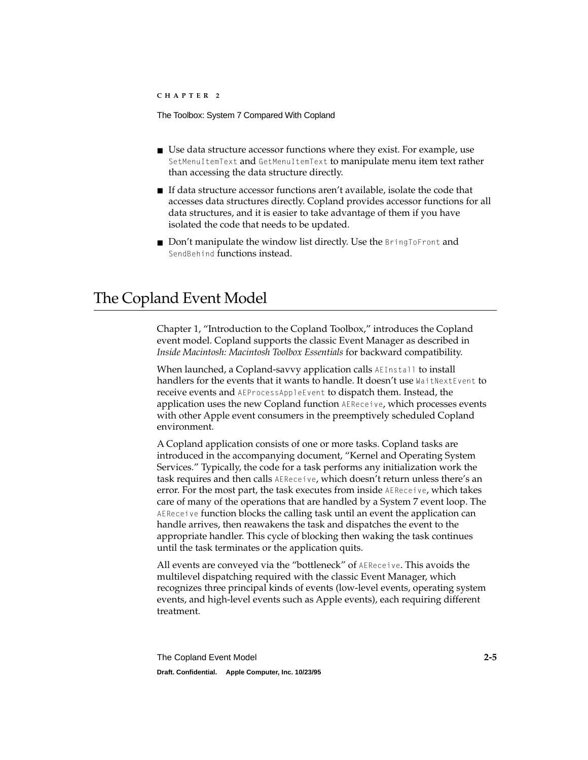- Use data structure accessor functions where they exist. For example, use SetMenuItemText and GetMenuItemText to manipulate menu item text rather than accessing the data structure directly.
- If data structure accessor functions aren't available, isolate the code that accesses data structures directly. Copland provides accessor functions for all data structures, and it is easier to take advantage of them if you have isolated the code that needs to be updated.
- Don't manipulate the window list directly. Use the BringToFront and SendBehind functions instead.

## The Copland Event Model 2

Chapter 1, "Introduction to the Copland Toolbox," introduces the Copland event model. Copland supports the classic Event Manager as described in *Inside Macintosh: Macintosh Toolbox Essentials* for backward compatibility.

When launched, a Copland-savvy application calls AEInstall to install handlers for the events that it wants to handle. It doesn't use WaitNextEvent to receive events and AEProcessAppleEvent to dispatch them. Instead, the application uses the new Copland function AEReceive, which processes events with other Apple event consumers in the preemptively scheduled Copland environment.

A Copland application consists of one or more tasks. Copland tasks are introduced in the accompanying document, "Kernel and Operating System Services." Typically, the code for a task performs any initialization work the task requires and then calls AEReceive, which doesn't return unless there's an error. For the most part, the task executes from inside AEReceive, which takes care of many of the operations that are handled by a System 7 event loop. The AEReceive function blocks the calling task until an event the application can handle arrives, then reawakens the task and dispatches the event to the appropriate handler. This cycle of blocking then waking the task continues until the task terminates or the application quits.

All events are conveyed via the "bottleneck" of AEReceive. This avoids the multilevel dispatching required with the classic Event Manager, which recognizes three principal kinds of events (low-level events, operating system events, and high-level events such as Apple events), each requiring different treatment.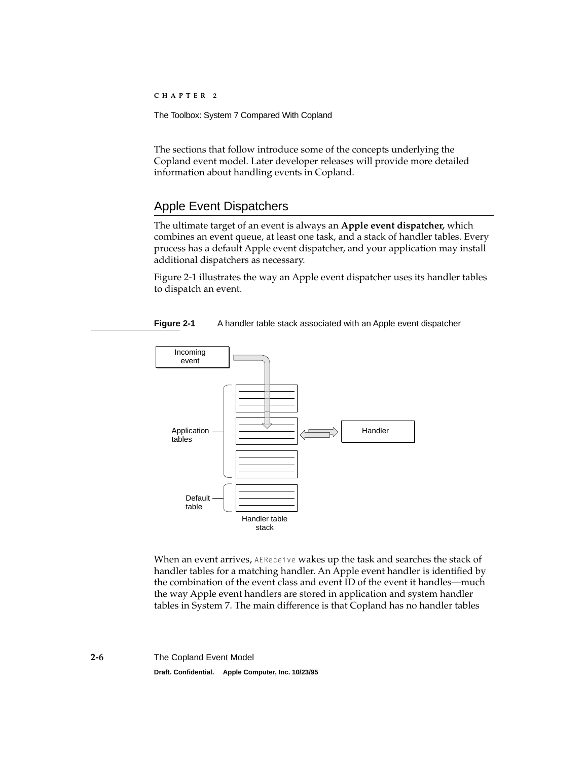The Toolbox: System 7 Compared With Copland

The sections that follow introduce some of the concepts underlying the Copland event model. Later developer releases will provide more detailed information about handling events in Copland.

## Apple Event Dispatchers

The ultimate target of an event is always an **Apple event dispatcher,** which combines an event queue, at least one task, and a stack of handler tables. Every process has a default Apple event dispatcher, and your application may install additional dispatchers as necessary.

Figure 2-1 illustrates the way an Apple event dispatcher uses its handler tables to dispatch an event.





When an event arrives, AEReceive wakes up the task and searches the stack of handler tables for a matching handler. An Apple event handler is identified by the combination of the event class and event ID of the event it handles—much the way Apple event handlers are stored in application and system handler tables in System 7. The main difference is that Copland has no handler tables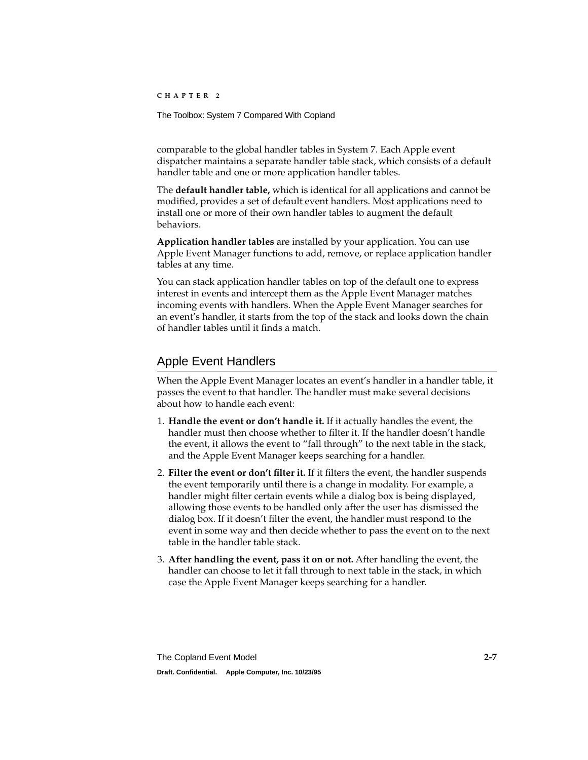The Toolbox: System 7 Compared With Copland

comparable to the global handler tables in System 7. Each Apple event dispatcher maintains a separate handler table stack, which consists of a default handler table and one or more application handler tables.

The **default handler table,** which is identical for all applications and cannot be modified, provides a set of default event handlers. Most applications need to install one or more of their own handler tables to augment the default behaviors.

**Application handler tables** are installed by your application. You can use Apple Event Manager functions to add, remove, or replace application handler tables at any time.

You can stack application handler tables on top of the default one to express interest in events and intercept them as the Apple Event Manager matches incoming events with handlers. When the Apple Event Manager searches for an event's handler, it starts from the top of the stack and looks down the chain of handler tables until it finds a match.

## Apple Event Handlers

When the Apple Event Manager locates an event's handler in a handler table, it passes the event to that handler. The handler must make several decisions about how to handle each event:

- 1. **Handle the event or don't handle it.** If it actually handles the event, the handler must then choose whether to filter it. If the handler doesn't handle the event, it allows the event to "fall through" to the next table in the stack, and the Apple Event Manager keeps searching for a handler.
- 2. **Filter the event or don't filter it.** If it filters the event, the handler suspends the event temporarily until there is a change in modality. For example, a handler might filter certain events while a dialog box is being displayed, allowing those events to be handled only after the user has dismissed the dialog box. If it doesn't filter the event, the handler must respond to the event in some way and then decide whether to pass the event on to the next table in the handler table stack.
- 3. **After handling the event, pass it on or not.** After handling the event, the handler can choose to let it fall through to next table in the stack, in which case the Apple Event Manager keeps searching for a handler.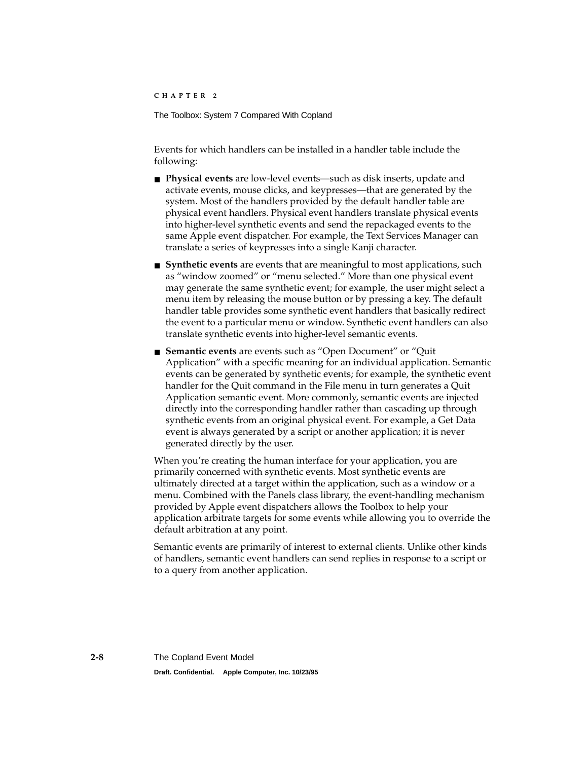The Toolbox: System 7 Compared With Copland

Events for which handlers can be installed in a handler table include the following:

- **Physical events** are low-level events—such as disk inserts, update and activate events, mouse clicks, and keypresses—that are generated by the system. Most of the handlers provided by the default handler table are physical event handlers. Physical event handlers translate physical events into higher-level synthetic events and send the repackaged events to the same Apple event dispatcher. For example, the Text Services Manager can translate a series of keypresses into a single Kanji character.
- **Synthetic events** are events that are meaningful to most applications, such as "window zoomed" or "menu selected." More than one physical event may generate the same synthetic event; for example, the user might select a menu item by releasing the mouse button or by pressing a key. The default handler table provides some synthetic event handlers that basically redirect the event to a particular menu or window. Synthetic event handlers can also translate synthetic events into higher-level semantic events.
- **Semantic events** are events such as "Open Document" or "Quit Application" with a specific meaning for an individual application. Semantic events can be generated by synthetic events; for example, the synthetic event handler for the Quit command in the File menu in turn generates a Quit Application semantic event. More commonly, semantic events are injected directly into the corresponding handler rather than cascading up through synthetic events from an original physical event. For example, a Get Data event is always generated by a script or another application; it is never generated directly by the user.

When you're creating the human interface for your application, you are primarily concerned with synthetic events. Most synthetic events are ultimately directed at a target within the application, such as a window or a menu. Combined with the Panels class library, the event-handling mechanism provided by Apple event dispatchers allows the Toolbox to help your application arbitrate targets for some events while allowing you to override the default arbitration at any point.

Semantic events are primarily of interest to external clients. Unlike other kinds of handlers, semantic event handlers can send replies in response to a script or to a query from another application.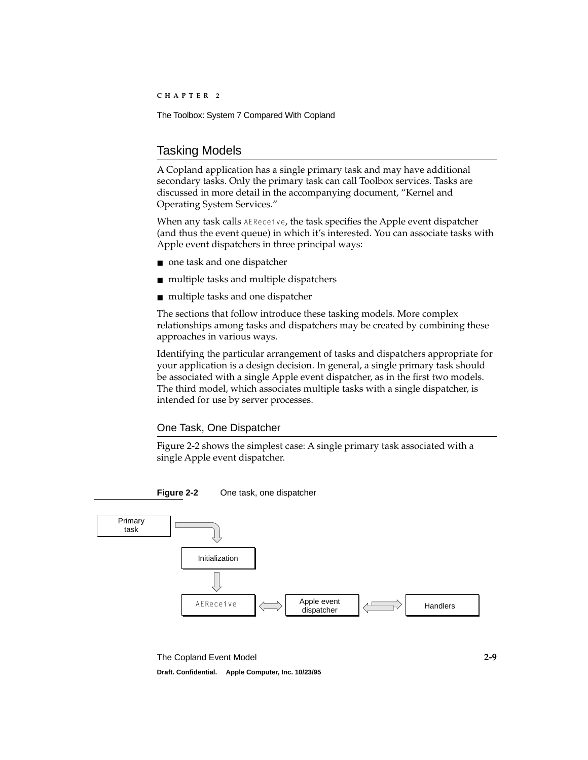## Tasking Models 2

A Copland application has a single primary task and may have additional secondary tasks. Only the primary task can call Toolbox services. Tasks are discussed in more detail in the accompanying document, "Kernel and Operating System Services."

When any task calls AEReceive, the task specifies the Apple event dispatcher (and thus the event queue) in which it's interested. You can associate tasks with Apple event dispatchers in three principal ways:

- one task and one dispatcher
- multiple tasks and multiple dispatchers
- multiple tasks and one dispatcher

The sections that follow introduce these tasking models. More complex relationships among tasks and dispatchers may be created by combining these approaches in various ways.

Identifying the particular arrangement of tasks and dispatchers appropriate for your application is a design decision. In general, a single primary task should be associated with a single Apple event dispatcher, as in the first two models. The third model, which associates multiple tasks with a single dispatcher, is intended for use by server processes.

#### One Task, One Dispatcher

Figure 2-2 shows the simplest case: A single primary task associated with a single Apple event dispatcher.



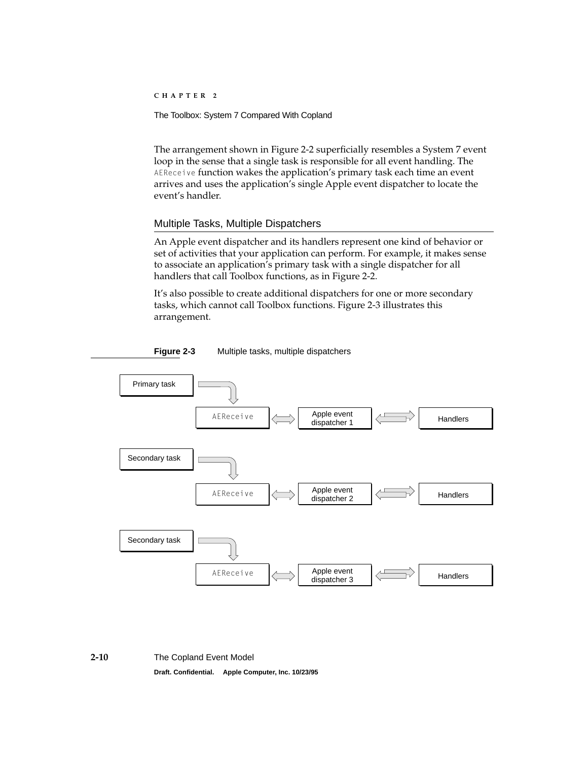The Toolbox: System 7 Compared With Copland

The arrangement shown in Figure 2-2 superficially resembles a System 7 event loop in the sense that a single task is responsible for all event handling. The AEReceive function wakes the application's primary task each time an event arrives and uses the application's single Apple event dispatcher to locate the event's handler.

### Multiple Tasks, Multiple Dispatchers 2

An Apple event dispatcher and its handlers represent one kind of behavior or set of activities that your application can perform. For example, it makes sense to associate an application's primary task with a single dispatcher for all handlers that call Toolbox functions, as in Figure 2-2.

It's also possible to create additional dispatchers for one or more secondary tasks, which cannot call Toolbox functions. Figure 2-3 illustrates this arrangement.



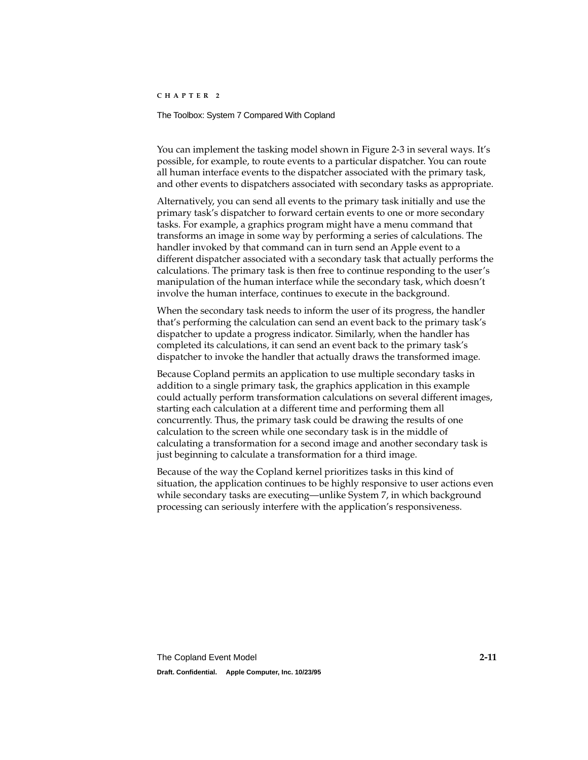#### The Toolbox: System 7 Compared With Copland

You can implement the tasking model shown in Figure 2-3 in several ways. It's possible, for example, to route events to a particular dispatcher. You can route all human interface events to the dispatcher associated with the primary task, and other events to dispatchers associated with secondary tasks as appropriate.

Alternatively, you can send all events to the primary task initially and use the primary task's dispatcher to forward certain events to one or more secondary tasks. For example, a graphics program might have a menu command that transforms an image in some way by performing a series of calculations. The handler invoked by that command can in turn send an Apple event to a different dispatcher associated with a secondary task that actually performs the calculations. The primary task is then free to continue responding to the user's manipulation of the human interface while the secondary task, which doesn't involve the human interface, continues to execute in the background.

When the secondary task needs to inform the user of its progress, the handler that's performing the calculation can send an event back to the primary task's dispatcher to update a progress indicator. Similarly, when the handler has completed its calculations, it can send an event back to the primary task's dispatcher to invoke the handler that actually draws the transformed image.

Because Copland permits an application to use multiple secondary tasks in addition to a single primary task, the graphics application in this example could actually perform transformation calculations on several different images, starting each calculation at a different time and performing them all concurrently. Thus, the primary task could be drawing the results of one calculation to the screen while one secondary task is in the middle of calculating a transformation for a second image and another secondary task is just beginning to calculate a transformation for a third image.

Because of the way the Copland kernel prioritizes tasks in this kind of situation, the application continues to be highly responsive to user actions even while secondary tasks are executing—unlike System 7, in which background processing can seriously interfere with the application's responsiveness.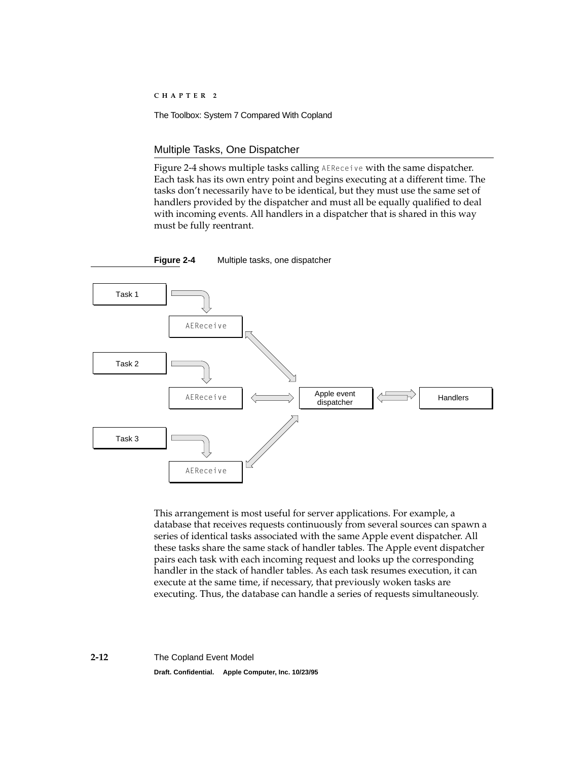#### The Toolbox: System 7 Compared With Copland

#### Multiple Tasks, One Dispatcher 2

Figure 2-4 shows multiple tasks calling AEReceive with the same dispatcher. Each task has its own entry point and begins executing at a different time. The tasks don't necessarily have to be identical, but they must use the same set of handlers provided by the dispatcher and must all be equally qualified to deal with incoming events. All handlers in a dispatcher that is shared in this way must be fully reentrant.





This arrangement is most useful for server applications. For example, a database that receives requests continuously from several sources can spawn a series of identical tasks associated with the same Apple event dispatcher. All these tasks share the same stack of handler tables. The Apple event dispatcher pairs each task with each incoming request and looks up the corresponding handler in the stack of handler tables. As each task resumes execution, it can execute at the same time, if necessary, that previously woken tasks are executing. Thus, the database can handle a series of requests simultaneously.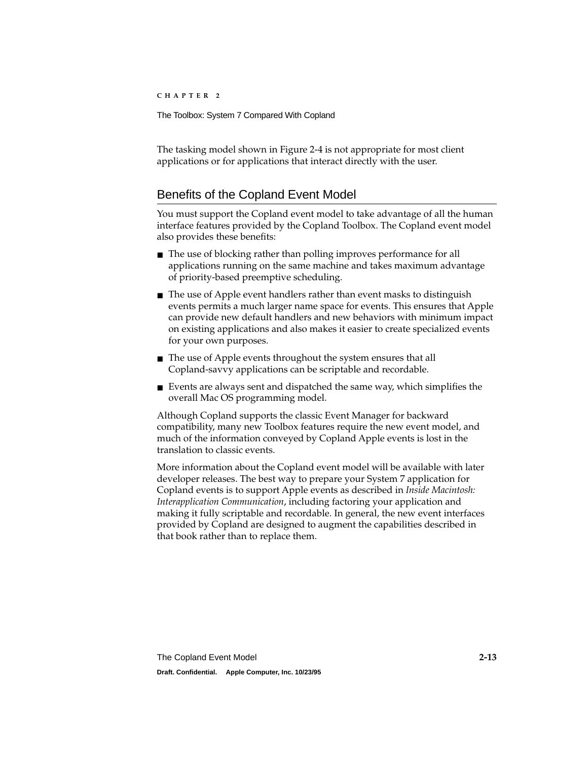The tasking model shown in Figure 2-4 is not appropriate for most client applications or for applications that interact directly with the user.

## Benefits of the Copland Event Model

You must support the Copland event model to take advantage of all the human interface features provided by the Copland Toolbox. The Copland event model also provides these benefits:

- The use of blocking rather than polling improves performance for all applications running on the same machine and takes maximum advantage of priority-based preemptive scheduling.
- The use of Apple event handlers rather than event masks to distinguish events permits a much larger name space for events. This ensures that Apple can provide new default handlers and new behaviors with minimum impact on existing applications and also makes it easier to create specialized events for your own purposes.
- The use of Apple events throughout the system ensures that all Copland-savvy applications can be scriptable and recordable.
- Events are always sent and dispatched the same way, which simplifies the overall Mac OS programming model.

Although Copland supports the classic Event Manager for backward compatibility, many new Toolbox features require the new event model, and much of the information conveyed by Copland Apple events is lost in the translation to classic events.

More information about the Copland event model will be available with later developer releases. The best way to prepare your System 7 application for Copland events is to support Apple events as described in *Inside Macintosh: Interapplication Communication*, including factoring your application and making it fully scriptable and recordable. In general, the new event interfaces provided by Copland are designed to augment the capabilities described in that book rather than to replace them.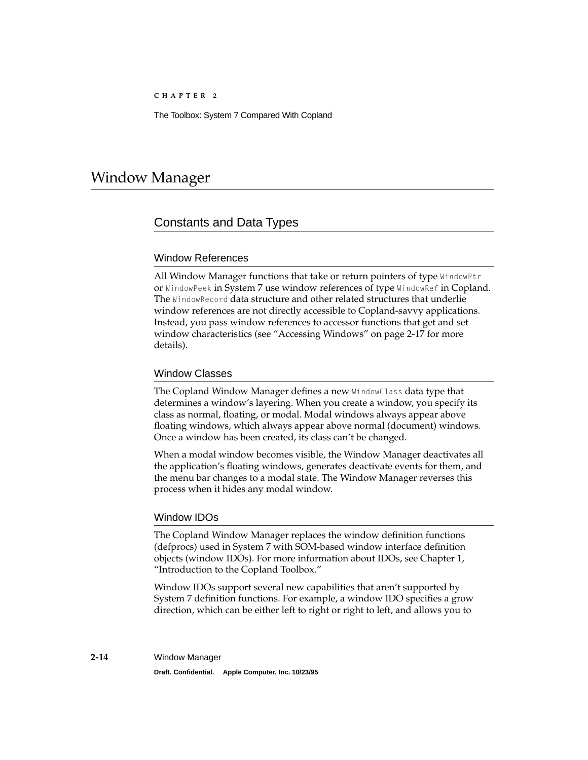## Window Manager 2

## Constants and Data Types 2

#### Window References

All Window Manager functions that take or return pointers of type WindowPtr or WindowPeek in System 7 use window references of type WindowRef in Copland. The WindowRecord data structure and other related structures that underlie window references are not directly accessible to Copland-savvy applications. Instead, you pass window references to accessor functions that get and set window characteristics (see "Accessing Windows" on page 2-17 for more details).

#### Window Classes

The Copland Window Manager defines a new WindowClass data type that determines a window's layering. When you create a window, you specify its class as normal, floating, or modal. Modal windows always appear above floating windows, which always appear above normal (document) windows. Once a window has been created, its class can't be changed.

When a modal window becomes visible, the Window Manager deactivates all the application's floating windows, generates deactivate events for them, and the menu bar changes to a modal state. The Window Manager reverses this process when it hides any modal window.

#### Window IDOs

The Copland Window Manager replaces the window definition functions (defprocs) used in System 7 with SOM-based window interface definition objects (window IDOs). For more information about IDOs, see Chapter 1, "Introduction to the Copland Toolbox."

Window IDOs support several new capabilities that aren't supported by System 7 definition functions. For example, a window IDO specifies a grow direction, which can be either left to right or right to left, and allows you to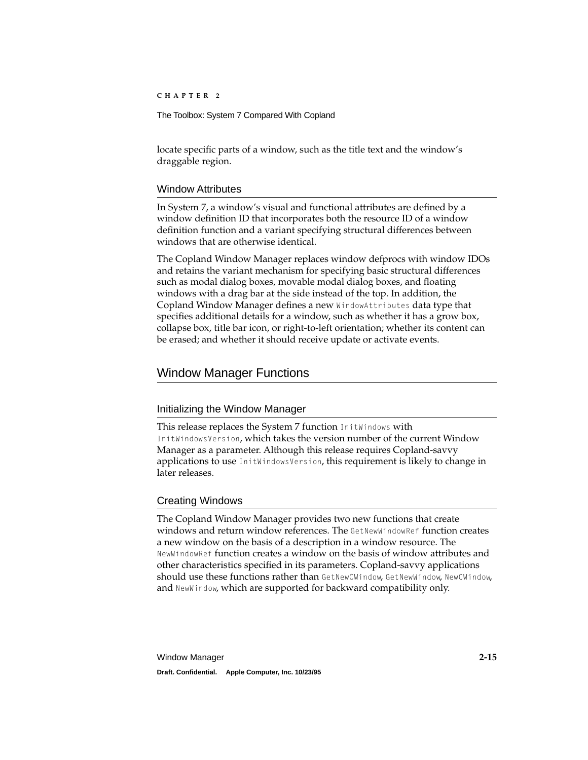The Toolbox: System 7 Compared With Copland

locate specific parts of a window, such as the title text and the window's draggable region.

#### Window Attributes

In System 7, a window's visual and functional attributes are defined by a window definition ID that incorporates both the resource ID of a window definition function and a variant specifying structural differences between windows that are otherwise identical.

The Copland Window Manager replaces window defprocs with window IDOs and retains the variant mechanism for specifying basic structural differences such as modal dialog boxes, movable modal dialog boxes, and floating windows with a drag bar at the side instead of the top. In addition, the Copland Window Manager defines a new WindowAttributes data type that specifies additional details for a window, such as whether it has a grow box, collapse box, title bar icon, or right-to-left orientation; whether its content can be erased; and whether it should receive update or activate events.

## Window Manager Functions

#### Initializing the Window Manager 2

This release replaces the System 7 function InitWindows with InitWindowsVersion, which takes the version number of the current Window Manager as a parameter. Although this release requires Copland-savvy applications to use InitWindowsVersion, this requirement is likely to change in later releases.

### Creating Windows 2

The Copland Window Manager provides two new functions that create windows and return window references. The GetNewWindowRef function creates a new window on the basis of a description in a window resource. The NewWindowRef function creates a window on the basis of window attributes and other characteristics specified in its parameters. Copland-savvy applications should use these functions rather than GetNewCWindow, GetNewWindow, NewCWindow, and NewWindow, which are supported for backward compatibility only.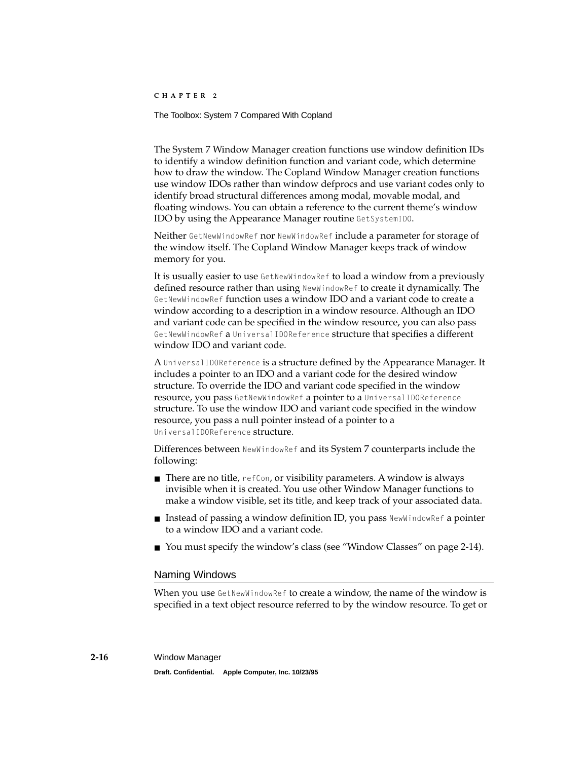#### The Toolbox: System 7 Compared With Copland

The System 7 Window Manager creation functions use window definition IDs to identify a window definition function and variant code, which determine how to draw the window. The Copland Window Manager creation functions use window IDOs rather than window defprocs and use variant codes only to identify broad structural differences among modal, movable modal, and floating windows. You can obtain a reference to the current theme's window IDO by using the Appearance Manager routine GetSystemIDO.

Neither GetNewWindowRef nor NewWindowRef include a parameter for storage of the window itself. The Copland Window Manager keeps track of window memory for you.

It is usually easier to use GetNewWindowRef to load a window from a previously defined resource rather than using NewWindowRef to create it dynamically. The GetNewWindowRef function uses a window IDO and a variant code to create a window according to a description in a window resource. Although an IDO and variant code can be specified in the window resource, you can also pass GetNewWindowRef a UniversalIDOReference structure that specifies a different window IDO and variant code.

A Universal IDOReference is a structure defined by the Appearance Manager. It includes a pointer to an IDO and a variant code for the desired window structure. To override the IDO and variant code specified in the window resource, you pass GetNewWindowRef a pointer to a Universal IDOReference structure. To use the window IDO and variant code specified in the window resource, you pass a null pointer instead of a pointer to a UniversalIDOReference structure.

Differences between NewWindowRef and its System 7 counterparts include the following:

- There are no title, refCon, or visibility parameters. A window is always invisible when it is created. You use other Window Manager functions to make a window visible, set its title, and keep track of your associated data.
- Instead of passing a window definition ID, you pass NewWindowRef a pointer to a window IDO and a variant code.
- You must specify the window's class (see "Window Classes" on page 2-14).

#### Naming Windows 2

When you use GetNewWindowRef to create a window, the name of the window is specified in a text object resource referred to by the window resource. To get or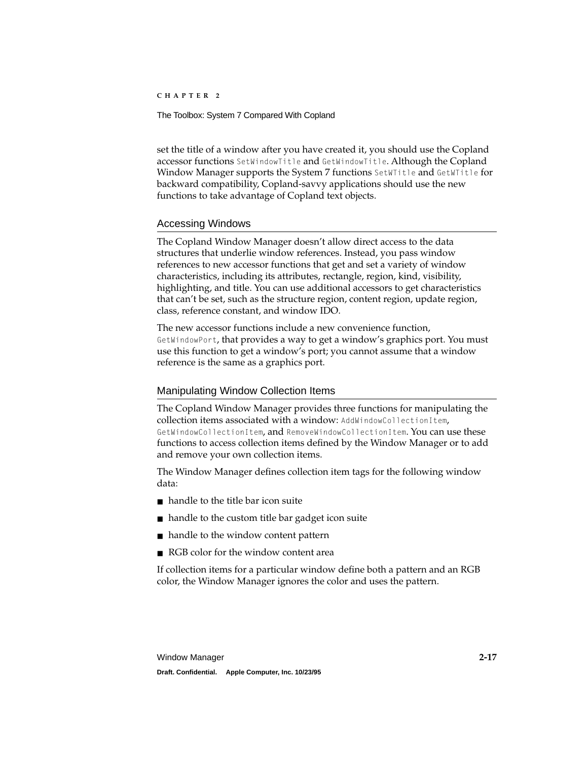The Toolbox: System 7 Compared With Copland

set the title of a window after you have created it, you should use the Copland accessor functions SetWindowTitle and GetWindowTitle. Although the Copland Window Manager supports the System 7 functions SetWTitle and GetWTitle for backward compatibility, Copland-savvy applications should use the new functions to take advantage of Copland text objects.

### Accessing Windows 2

The Copland Window Manager doesn't allow direct access to the data structures that underlie window references. Instead, you pass window references to new accessor functions that get and set a variety of window characteristics, including its attributes, rectangle, region, kind, visibility, highlighting, and title. You can use additional accessors to get characteristics that can't be set, such as the structure region, content region, update region, class, reference constant, and window IDO.

The new accessor functions include a new convenience function, GetWindowPort, that provides a way to get a window's graphics port. You must use this function to get a window's port; you cannot assume that a window reference is the same as a graphics port.

### Manipulating Window Collection Items 2

The Copland Window Manager provides three functions for manipulating the collection items associated with a window: AddWindowCollectionItem, GetWindowCollectionItem, and RemoveWindowCollectionItem. You can use these functions to access collection items defined by the Window Manager or to add and remove your own collection items.

The Window Manager defines collection item tags for the following window data:

- handle to the title bar icon suite
- handle to the custom title bar gadget icon suite
- handle to the window content pattern
- RGB color for the window content area

If collection items for a particular window define both a pattern and an RGB color, the Window Manager ignores the color and uses the pattern.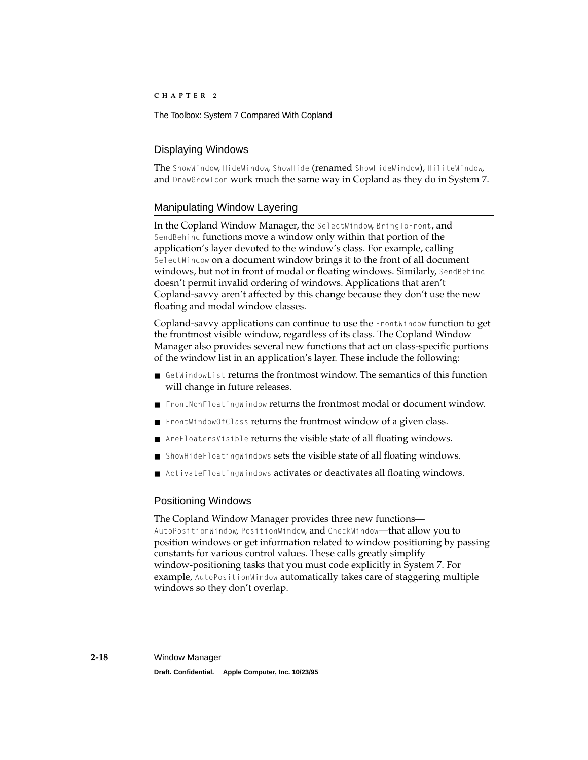### Displaying Windows 2

The ShowWindow, HideWindow, ShowHide (renamed ShowHideWindow), HiliteWindow, and DrawGrowIcon work much the same way in Copland as they do in System 7.

### Manipulating Window Layering

In the Copland Window Manager, the SelectWindow, BringToFront, and SendBehind functions move a window only within that portion of the application's layer devoted to the window's class. For example, calling SelectWindow on a document window brings it to the front of all document windows, but not in front of modal or floating windows. Similarly, SendBehind doesn't permit invalid ordering of windows. Applications that aren't Copland-savvy aren't affected by this change because they don't use the new floating and modal window classes.

Copland-savvy applications can continue to use the FrontWindow function to get the frontmost visible window, regardless of its class. The Copland Window Manager also provides several new functions that act on class-specific portions of the window list in an application's layer. These include the following:

- GetWindowList returns the frontmost window. The semantics of this function will change in future releases.
- FrontNonFloatingWindow returns the frontmost modal or document window.
- FrontWindowOfClass returns the frontmost window of a given class.
- AreFloatersVisible returns the visible state of all floating windows.
- ShowHideFloatingWindows sets the visible state of all floating windows.
- ActivateFloatingWindows activates or deactivates all floating windows.

#### Positioning Windows 2

The Copland Window Manager provides three new functions— AutoPositionWindow, PositionWindow, and CheckWindow—that allow you to position windows or get information related to window positioning by passing constants for various control values. These calls greatly simplify window-positioning tasks that you must code explicitly in System 7. For example, AutoPositionWindow automatically takes care of staggering multiple windows so they don't overlap.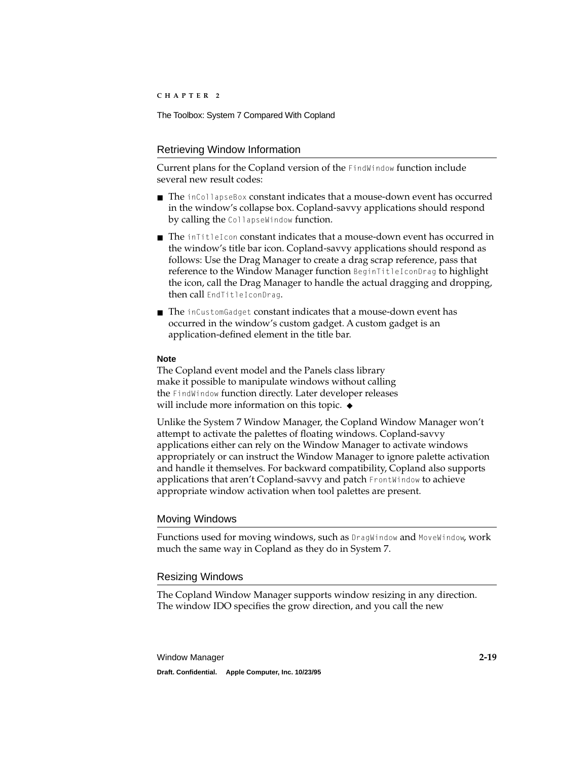### Retrieving Window Information 2

Current plans for the Copland version of the FindWindow function include several new result codes:

- The inCollapseBox constant indicates that a mouse-down event has occurred in the window's collapse box. Copland-savvy applications should respond by calling the CollapseWindow function.
- The inTitleIcon constant indicates that a mouse-down event has occurred in the window's title bar icon. Copland-savvy applications should respond as follows: Use the Drag Manager to create a drag scrap reference, pass that reference to the Window Manager function BeginTitleIconDrag to highlight the icon, call the Drag Manager to handle the actual dragging and dropping, then call EndTitleIconDrag.
- The inCustomGadget constant indicates that a mouse-down event has occurred in the window's custom gadget. A custom gadget is an application-defined element in the title bar.

#### **Note**

The Copland event model and the Panels class library make it possible to manipulate windows without calling the FindWindow function directly. Later developer releases will include more information on this topic. ◆

Unlike the System 7 Window Manager, the Copland Window Manager won't attempt to activate the palettes of floating windows. Copland-savvy applications either can rely on the Window Manager to activate windows appropriately or can instruct the Window Manager to ignore palette activation and handle it themselves. For backward compatibility, Copland also supports applications that aren't Copland-savvy and patch FrontWindow to achieve appropriate window activation when tool palettes are present.

### Moving Windows 2

Functions used for moving windows, such as DragWindow and MoveWindow, work much the same way in Copland as they do in System 7.

### Resizing Windows 2

The Copland Window Manager supports window resizing in any direction. The window IDO specifies the grow direction, and you call the new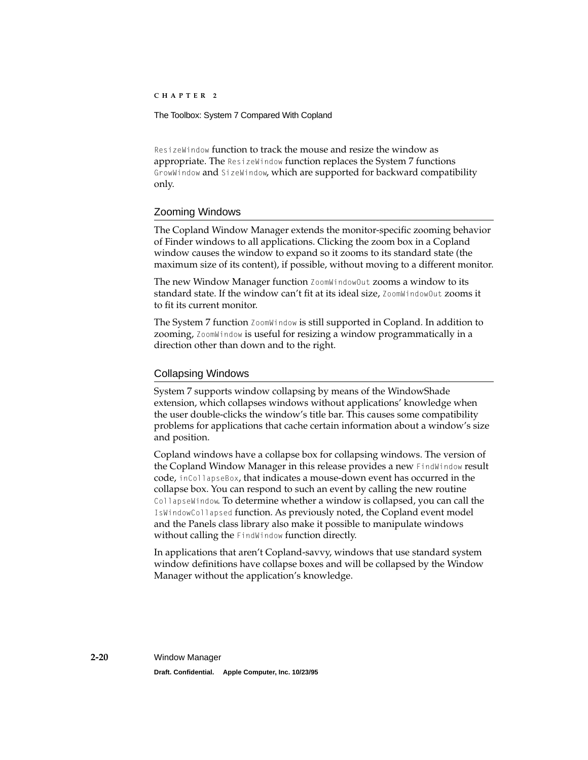#### The Toolbox: System 7 Compared With Copland

ResizeWindow function to track the mouse and resize the window as appropriate. The ResizeWindow function replaces the System 7 functions GrowWindow and SizeWindow, which are supported for backward compatibility only.

#### Zooming Windows

The Copland Window Manager extends the monitor-specific zooming behavior of Finder windows to all applications. Clicking the zoom box in a Copland window causes the window to expand so it zooms to its standard state (the maximum size of its content), if possible, without moving to a different monitor.

The new Window Manager function ZoomWindowOut zooms a window to its standard state. If the window can't fit at its ideal size, ZoomWindowOut zooms it to fit its current monitor.

The System 7 function ZoomWindow is still supported in Copland. In addition to zooming, ZoomWindow is useful for resizing a window programmatically in a direction other than down and to the right.

#### Collapsing Windows 2

System 7 supports window collapsing by means of the WindowShade extension, which collapses windows without applications' knowledge when the user double-clicks the window's title bar. This causes some compatibility problems for applications that cache certain information about a window's size and position.

Copland windows have a collapse box for collapsing windows. The version of the Copland Window Manager in this release provides a new FindWindow result code, inCollapseBox, that indicates a mouse-down event has occurred in the collapse box. You can respond to such an event by calling the new routine CollapseWindow. To determine whether a window is collapsed, you can call the IsWindowCollapsed function. As previously noted, the Copland event model and the Panels class library also make it possible to manipulate windows without calling the FindWindow function directly.

In applications that aren't Copland-savvy, windows that use standard system window definitions have collapse boxes and will be collapsed by the Window Manager without the application's knowledge.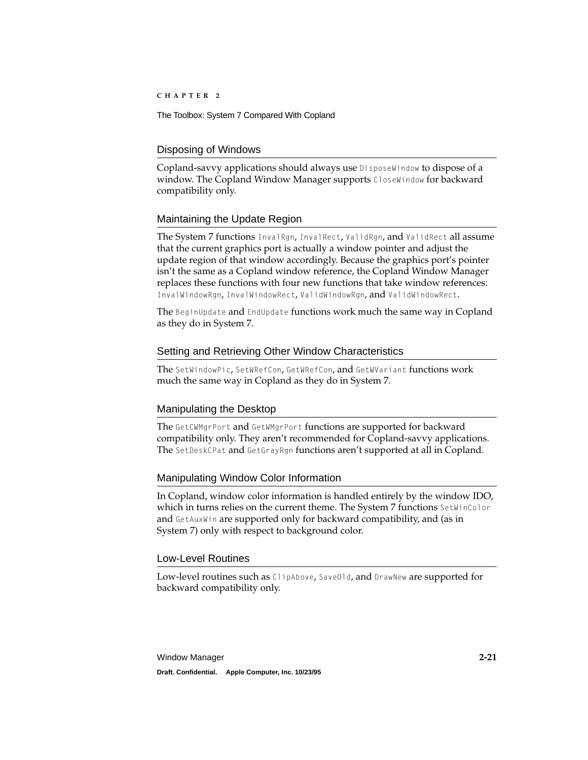The Toolbox: System 7 Compared With Copland

### Disposing of Windows 2

Copland-savvy applications should always use DisposeWindow to dispose of a window. The Copland Window Manager supports CloseWindow for backward compatibility only.

### Maintaining the Update Region

The System 7 functions InvalRgn, InvalRect, ValidRgn, and ValidRect all assume that the current graphics port is actually a window pointer and adjust the update region of that window accordingly. Because the graphics port's pointer isn't the same as a Copland window reference, the Copland Window Manager replaces these functions with four new functions that take window references: InvalWindowRgn, InvalWindowRect, ValidWindowRgn, and ValidWindowRect.

The BeginUpdate and EndUpdate functions work much the same way in Copland as they do in System 7.

### Setting and Retrieving Other Window Characteristics 2

The SetWindowPic, SetWRefCon, GetWRefCon, and GetWVariant functions work much the same way in Copland as they do in System 7.

### Manipulating the Desktop

The GetCWMgrPort and GetWMgrPort functions are supported for backward compatibility only. They aren't recommended for Copland-savvy applications. The SetDeskCPat and GetGrayRgn functions aren't supported at all in Copland.

### Manipulating Window Color Information 2

In Copland, window color information is handled entirely by the window IDO, which in turns relies on the current theme. The System 7 functions SetWinColor and GetAuxWin are supported only for backward compatibility, and (as in System 7) only with respect to background color.

#### Low-Level Routines

Low-level routines such as ClipAbove, SaveOld, and DrawNew are supported for backward compatibility only.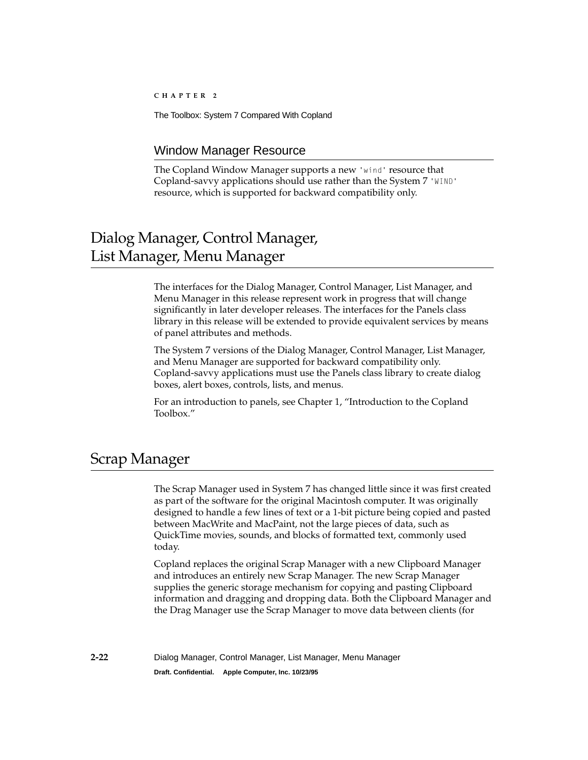## Window Manager Resource

The Copland Window Manager supports a new 'wind' resource that Copland-savvy applications should use rather than the System 7 'WIND' resource, which is supported for backward compatibility only.

## Dialog Manager, Control Manager, List Manager, Menu Manager 2

The interfaces for the Dialog Manager, Control Manager, List Manager, and Menu Manager in this release represent work in progress that will change significantly in later developer releases. The interfaces for the Panels class library in this release will be extended to provide equivalent services by means of panel attributes and methods.

The System 7 versions of the Dialog Manager, Control Manager, List Manager, and Menu Manager are supported for backward compatibility only. Copland-savvy applications must use the Panels class library to create dialog boxes, alert boxes, controls, lists, and menus.

For an introduction to panels, see Chapter 1, "Introduction to the Copland Toolbox."

## Scrap Manager 2

The Scrap Manager used in System 7 has changed little since it was first created as part of the software for the original Macintosh computer. It was originally designed to handle a few lines of text or a 1-bit picture being copied and pasted between MacWrite and MacPaint, not the large pieces of data, such as QuickTime movies, sounds, and blocks of formatted text, commonly used today.

Copland replaces the original Scrap Manager with a new Clipboard Manager and introduces an entirely new Scrap Manager. The new Scrap Manager supplies the generic storage mechanism for copying and pasting Clipboard information and dragging and dropping data. Both the Clipboard Manager and the Drag Manager use the Scrap Manager to move data between clients (for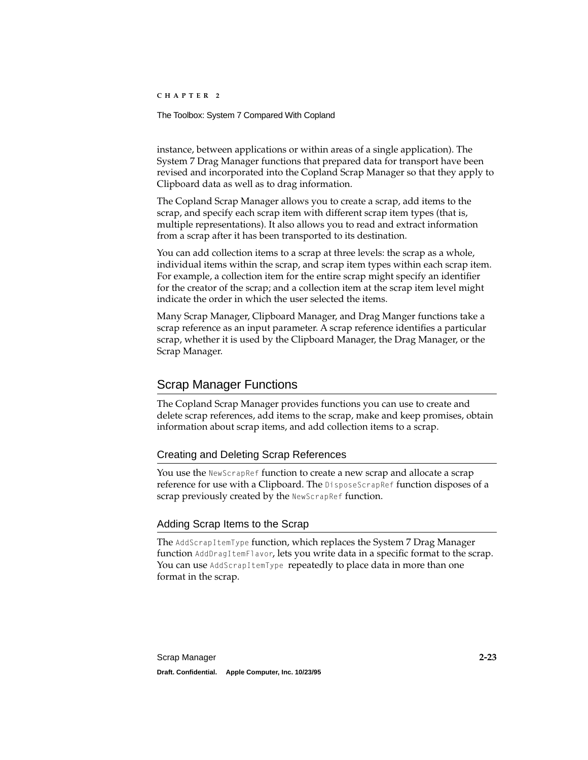The Toolbox: System 7 Compared With Copland

instance, between applications or within areas of a single application). The System 7 Drag Manager functions that prepared data for transport have been revised and incorporated into the Copland Scrap Manager so that they apply to Clipboard data as well as to drag information.

The Copland Scrap Manager allows you to create a scrap, add items to the scrap, and specify each scrap item with different scrap item types (that is, multiple representations). It also allows you to read and extract information from a scrap after it has been transported to its destination.

You can add collection items to a scrap at three levels: the scrap as a whole, individual items within the scrap, and scrap item types within each scrap item. For example, a collection item for the entire scrap might specify an identifier for the creator of the scrap; and a collection item at the scrap item level might indicate the order in which the user selected the items.

Many Scrap Manager, Clipboard Manager, and Drag Manger functions take a scrap reference as an input parameter. A scrap reference identifies a particular scrap, whether it is used by the Clipboard Manager, the Drag Manager, or the Scrap Manager.

## **Scrap Manager Functions**

The Copland Scrap Manager provides functions you can use to create and delete scrap references, add items to the scrap, make and keep promises, obtain information about scrap items, and add collection items to a scrap.

## Creating and Deleting Scrap References 2

You use the NewScrapRef function to create a new scrap and allocate a scrap reference for use with a Clipboard. The DisposeScrapRef function disposes of a scrap previously created by the NewScrapRef function.

### Adding Scrap Items to the Scrap

The AddScrapItemType function, which replaces the System 7 Drag Manager function AddDragItemFlavor, lets you write data in a specific format to the scrap. You can use AddScrapItemType repeatedly to place data in more than one format in the scrap.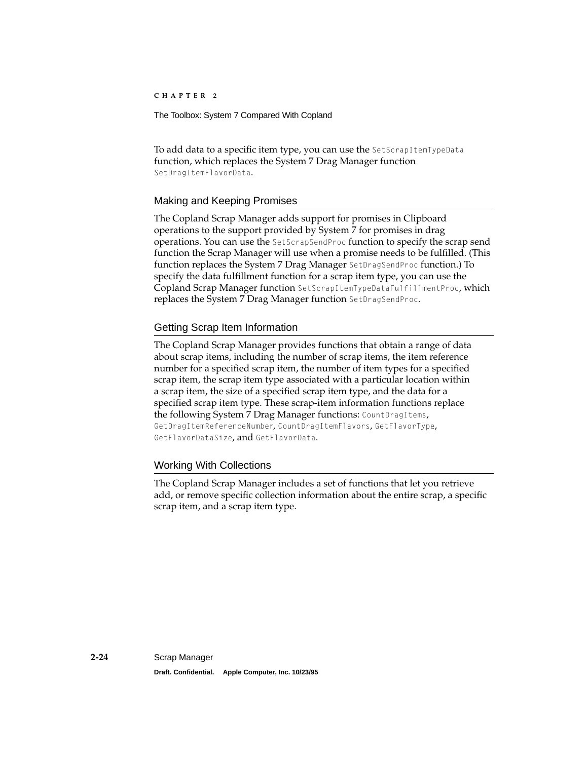The Toolbox: System 7 Compared With Copland

To add data to a specific item type, you can use the SetScrapItemTypeData function, which replaces the System 7 Drag Manager function SetDragItemFlavorData.

#### Making and Keeping Promises 2

The Copland Scrap Manager adds support for promises in Clipboard operations to the support provided by System 7 for promises in drag operations. You can use the SetScrapSendProc function to specify the scrap send function the Scrap Manager will use when a promise needs to be fulfilled. (This function replaces the System 7 Drag Manager SetDragSendProc function.) To specify the data fulfillment function for a scrap item type, you can use the Copland Scrap Manager function SetScrapItemTypeDataFulfillmentProc, which replaces the System 7 Drag Manager function SetDragSendProc.

#### Getting Scrap Item Information 2

The Copland Scrap Manager provides functions that obtain a range of data about scrap items, including the number of scrap items, the item reference number for a specified scrap item, the number of item types for a specified scrap item, the scrap item type associated with a particular location within a scrap item, the size of a specified scrap item type, and the data for a specified scrap item type. These scrap-item information functions replace the following System 7 Drag Manager functions: CountDragItems, GetDragItemReferenceNumber, CountDragItemFlavors, GetFlavorType, GetFlavorDataSize, and GetFlavorData.

#### Working With Collections 2

The Copland Scrap Manager includes a set of functions that let you retrieve add, or remove specific collection information about the entire scrap, a specific scrap item, and a scrap item type.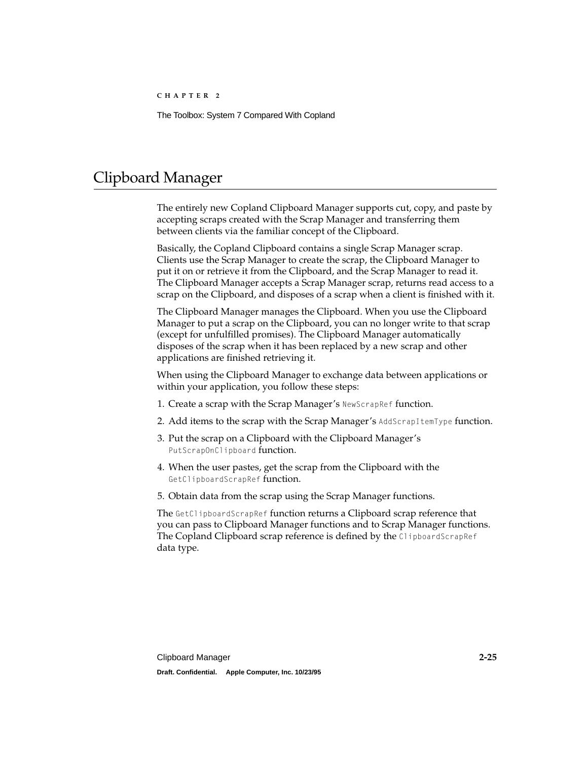# Clipboard Manager 2

The entirely new Copland Clipboard Manager supports cut, copy, and paste by accepting scraps created with the Scrap Manager and transferring them between clients via the familiar concept of the Clipboard.

Basically, the Copland Clipboard contains a single Scrap Manager scrap. Clients use the Scrap Manager to create the scrap, the Clipboard Manager to put it on or retrieve it from the Clipboard, and the Scrap Manager to read it. The Clipboard Manager accepts a Scrap Manager scrap, returns read access to a scrap on the Clipboard, and disposes of a scrap when a client is finished with it.

The Clipboard Manager manages the Clipboard. When you use the Clipboard Manager to put a scrap on the Clipboard, you can no longer write to that scrap (except for unfulfilled promises). The Clipboard Manager automatically disposes of the scrap when it has been replaced by a new scrap and other applications are finished retrieving it.

When using the Clipboard Manager to exchange data between applications or within your application, you follow these steps:

- 1. Create a scrap with the Scrap Manager's NewScrapRef function.
- 2. Add items to the scrap with the Scrap Manager's AddScrapItemType function.
- 3. Put the scrap on a Clipboard with the Clipboard Manager's PutScrapOnClipboard function.
- 4. When the user pastes, get the scrap from the Clipboard with the GetClipboardScrapRef function.
- 5. Obtain data from the scrap using the Scrap Manager functions.

The GetClipboardScrapRef function returns a Clipboard scrap reference that you can pass to Clipboard Manager functions and to Scrap Manager functions. The Copland Clipboard scrap reference is defined by the ClipboardScrapRef data type.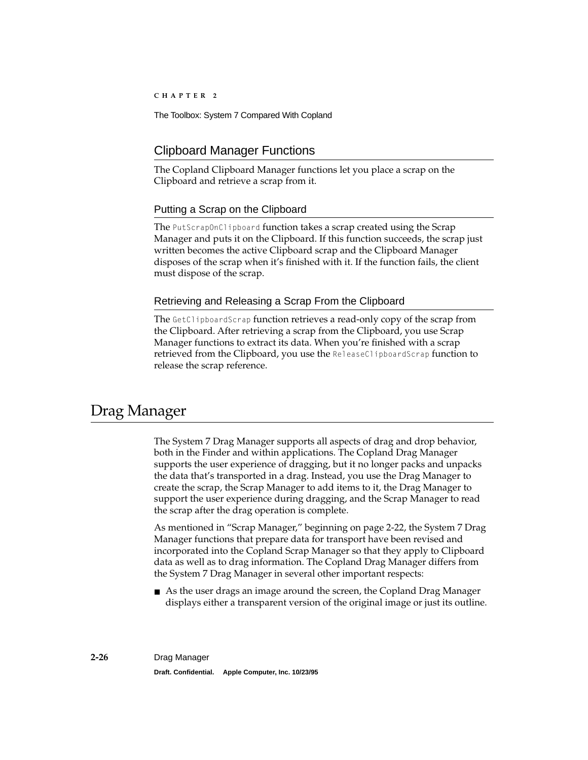## Clipboard Manager Functions 2

The Copland Clipboard Manager functions let you place a scrap on the Clipboard and retrieve a scrap from it.

## Putting a Scrap on the Clipboard

The PutScrapOnClipboard function takes a scrap created using the Scrap Manager and puts it on the Clipboard. If this function succeeds, the scrap just written becomes the active Clipboard scrap and the Clipboard Manager disposes of the scrap when it's finished with it. If the function fails, the client must dispose of the scrap.

#### Retrieving and Releasing a Scrap From the Clipboard 2

The GetClipboardScrap function retrieves a read-only copy of the scrap from the Clipboard. After retrieving a scrap from the Clipboard, you use Scrap Manager functions to extract its data. When you're finished with a scrap retrieved from the Clipboard, you use the ReleaseClipboardScrap function to release the scrap reference.

# Drag Manager 2

The System 7 Drag Manager supports all aspects of drag and drop behavior, both in the Finder and within applications. The Copland Drag Manager supports the user experience of dragging, but it no longer packs and unpacks the data that's transported in a drag. Instead, you use the Drag Manager to create the scrap, the Scrap Manager to add items to it, the Drag Manager to support the user experience during dragging, and the Scrap Manager to read the scrap after the drag operation is complete.

As mentioned in "Scrap Manager," beginning on page 2-22, the System 7 Drag Manager functions that prepare data for transport have been revised and incorporated into the Copland Scrap Manager so that they apply to Clipboard data as well as to drag information. The Copland Drag Manager differs from the System 7 Drag Manager in several other important respects:

■ As the user drags an image around the screen, the Copland Drag Manager displays either a transparent version of the original image or just its outline.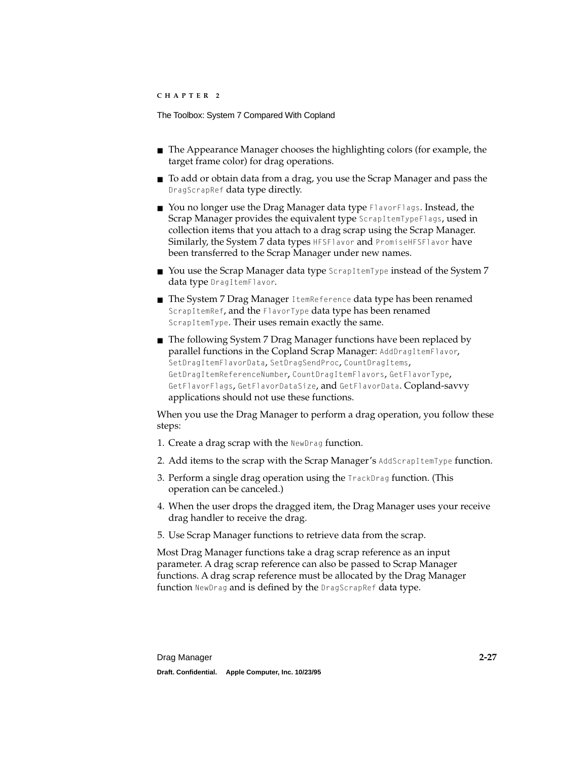- The Appearance Manager chooses the highlighting colors (for example, the target frame color) for drag operations.
- To add or obtain data from a drag, you use the Scrap Manager and pass the DragScrapRef data type directly.
- You no longer use the Drag Manager data type FlavorFlags. Instead, the Scrap Manager provides the equivalent type ScrapItemTypeFlags, used in collection items that you attach to a drag scrap using the Scrap Manager. Similarly, the System 7 data types HFSFlavor and PromiseHFSFlavor have been transferred to the Scrap Manager under new names.
- You use the Scrap Manager data type ScrapItemType instead of the System 7 data type DragItemFlavor.
- The System 7 Drag Manager ItemReference data type has been renamed ScrapItemRef, and the FlavorType data type has been renamed ScrapItemType. Their uses remain exactly the same.
- The following System 7 Drag Manager functions have been replaced by parallel functions in the Copland Scrap Manager: AddDragItemFlavor, SetDragItemFlavorData, SetDragSendProc, CountDragItems, GetDragItemReferenceNumber, CountDragItemFlavors, GetFlavorType, GetFlavorFlags, GetFlavorDataSize, and GetFlavorData. Copland-savvy applications should not use these functions.

When you use the Drag Manager to perform a drag operation, you follow these steps:

- 1. Create a drag scrap with the NewDrag function.
- 2. Add items to the scrap with the Scrap Manager's  $AddScrapItemType$  function.
- 3. Perform a single drag operation using the TrackDrag function. (This operation can be canceled.)
- 4. When the user drops the dragged item, the Drag Manager uses your receive drag handler to receive the drag.
- 5. Use Scrap Manager functions to retrieve data from the scrap.

Most Drag Manager functions take a drag scrap reference as an input parameter. A drag scrap reference can also be passed to Scrap Manager functions. A drag scrap reference must be allocated by the Drag Manager function NewDrag and is defined by the DragScrapRef data type.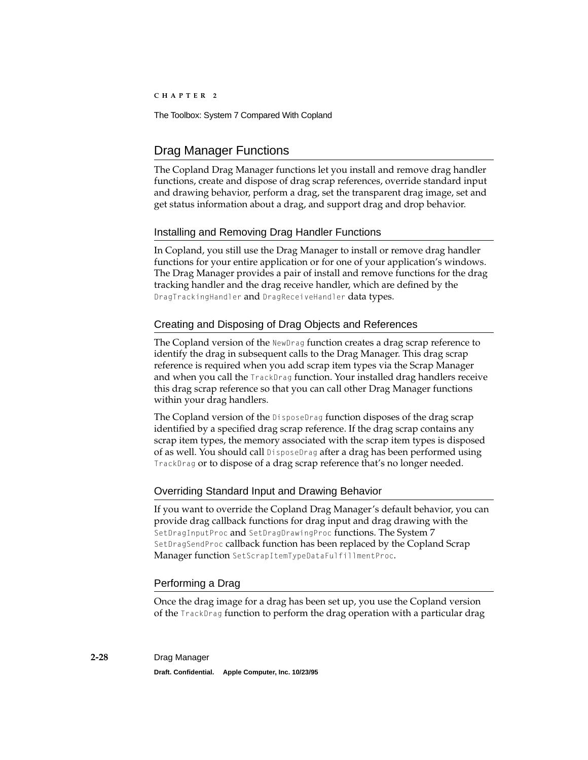## Drag Manager Functions 2

The Copland Drag Manager functions let you install and remove drag handler functions, create and dispose of drag scrap references, override standard input and drawing behavior, perform a drag, set the transparent drag image, set and get status information about a drag, and support drag and drop behavior.

## Installing and Removing Drag Handler Functions 2

In Copland, you still use the Drag Manager to install or remove drag handler functions for your entire application or for one of your application's windows. The Drag Manager provides a pair of install and remove functions for the drag tracking handler and the drag receive handler, which are defined by the DragTrackingHandler and DragReceiveHandler data types.

## Creating and Disposing of Drag Objects and References 2

The Copland version of the NewDrag function creates a drag scrap reference to identify the drag in subsequent calls to the Drag Manager. This drag scrap reference is required when you add scrap item types via the Scrap Manager and when you call the TrackDrag function. Your installed drag handlers receive this drag scrap reference so that you can call other Drag Manager functions within your drag handlers.

The Copland version of the DisposeDrag function disposes of the drag scrap identified by a specified drag scrap reference. If the drag scrap contains any scrap item types, the memory associated with the scrap item types is disposed of as well. You should call DisposeDrag after a drag has been performed using TrackDrag or to dispose of a drag scrap reference that's no longer needed.

## Overriding Standard Input and Drawing Behavior 2

If you want to override the Copland Drag Manager's default behavior, you can provide drag callback functions for drag input and drag drawing with the SetDragInputProc and SetDragDrawingProc functions. The System 7 SetDragSendProc callback function has been replaced by the Copland Scrap Manager function SetScrapItemTypeDataFulfillmentProc.

## Performing a Drag

Once the drag image for a drag has been set up, you use the Copland version of the TrackDrag function to perform the drag operation with a particular drag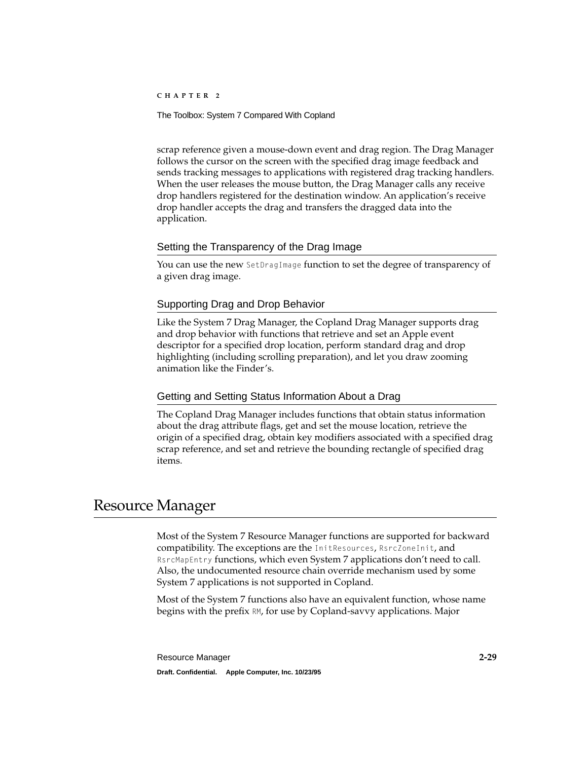**CHAPTER 2**

The Toolbox: System 7 Compared With Copland

scrap reference given a mouse-down event and drag region. The Drag Manager follows the cursor on the screen with the specified drag image feedback and sends tracking messages to applications with registered drag tracking handlers. When the user releases the mouse button, the Drag Manager calls any receive drop handlers registered for the destination window. An application's receive drop handler accepts the drag and transfers the dragged data into the application.

## Setting the Transparency of the Drag Image 2

You can use the new SetDragImage function to set the degree of transparency of a given drag image.

## Supporting Drag and Drop Behavior

Like the System 7 Drag Manager, the Copland Drag Manager supports drag and drop behavior with functions that retrieve and set an Apple event descriptor for a specified drop location, perform standard drag and drop highlighting (including scrolling preparation), and let you draw zooming animation like the Finder's.

## Getting and Setting Status Information About a Drag 2

The Copland Drag Manager includes functions that obtain status information about the drag attribute flags, get and set the mouse location, retrieve the origin of a specified drag, obtain key modifiers associated with a specified drag scrap reference, and set and retrieve the bounding rectangle of specified drag items.

## Resource Manager

Most of the System 7 Resource Manager functions are supported for backward compatibility. The exceptions are the InitResources, RsrcZoneInit, and RsrcMapEntry functions, which even System 7 applications don't need to call. Also, the undocumented resource chain override mechanism used by some System 7 applications is not supported in Copland.

Most of the System 7 functions also have an equivalent function, whose name begins with the prefix RM, for use by Copland-savvy applications. Major